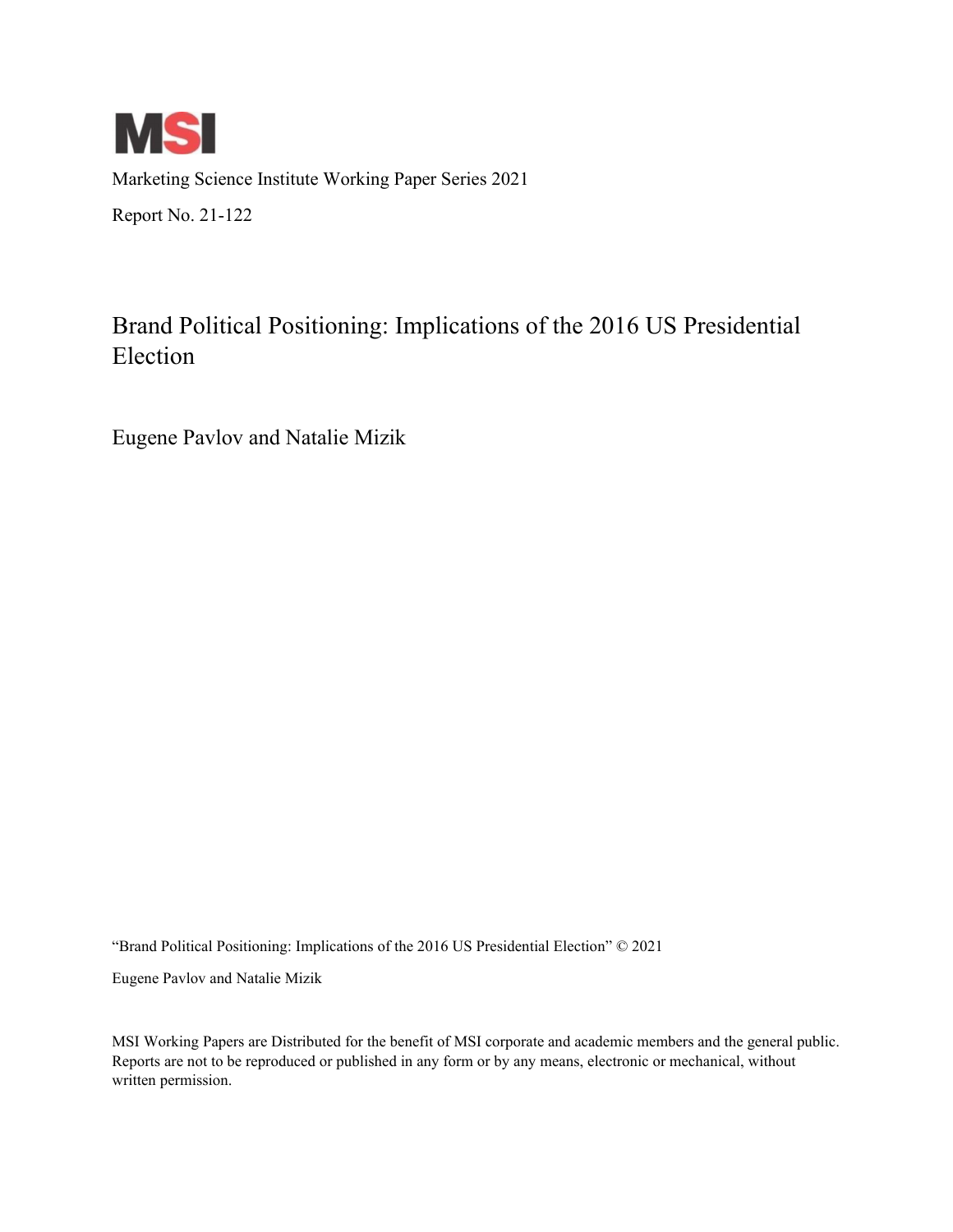

Marketing Science Institute Working Paper Series 2021 Report No. 21-122

# Brand Political Positioning: Implications of the 2016 US Presidential Election

Eugene Pavlov and Natalie Mizik

"Brand Political Positioning: Implications of the 2016 US Presidential Election" © 2021

Eugene Pavlov and Natalie Mizik

MSI Working Papers are Distributed for the benefit of MSI corporate and academic members and the general public. Reports are not to be reproduced or published in any form or by any means, electronic or mechanical, without written permission.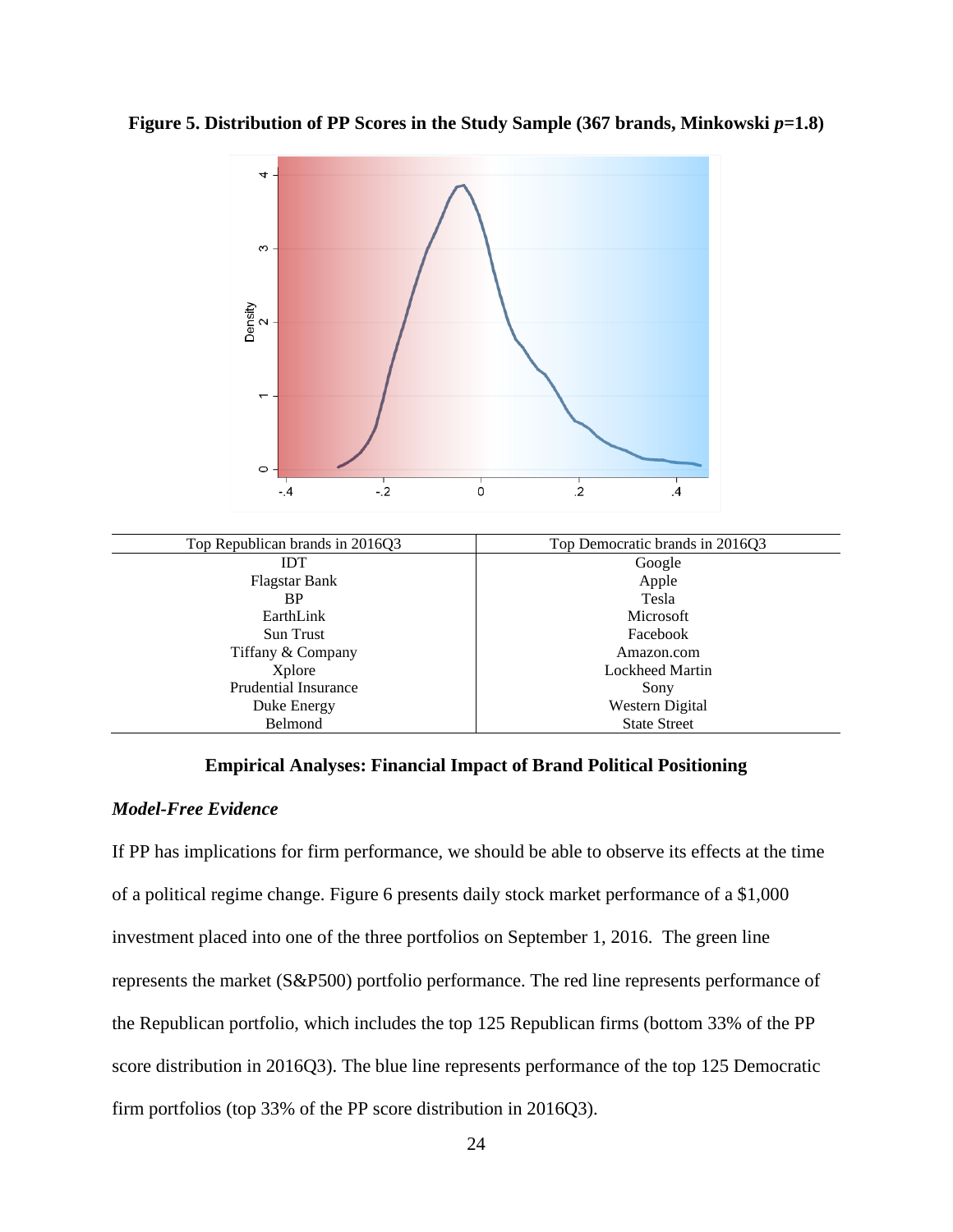



#### **Empirical Analyses: Financial Impact of Brand Political Positioning**

#### *Model-Free Evidence*

If PP has implications for firm performance, we should be able to observe its effects at the time of a political regime change. Figure 6 presents daily stock market performance of a \$1,000 investment placed into one of the three portfolios on September 1, 2016. The green line represents the market (S&P500) portfolio performance. The red line represents performance of the Republican portfolio, which includes the top 125 Republican firms (bottom 33% of the PP score distribution in 2016Q3). The blue line represents performance of the top 125 Democratic firm portfolios (top 33% of the PP score distribution in 2016Q3).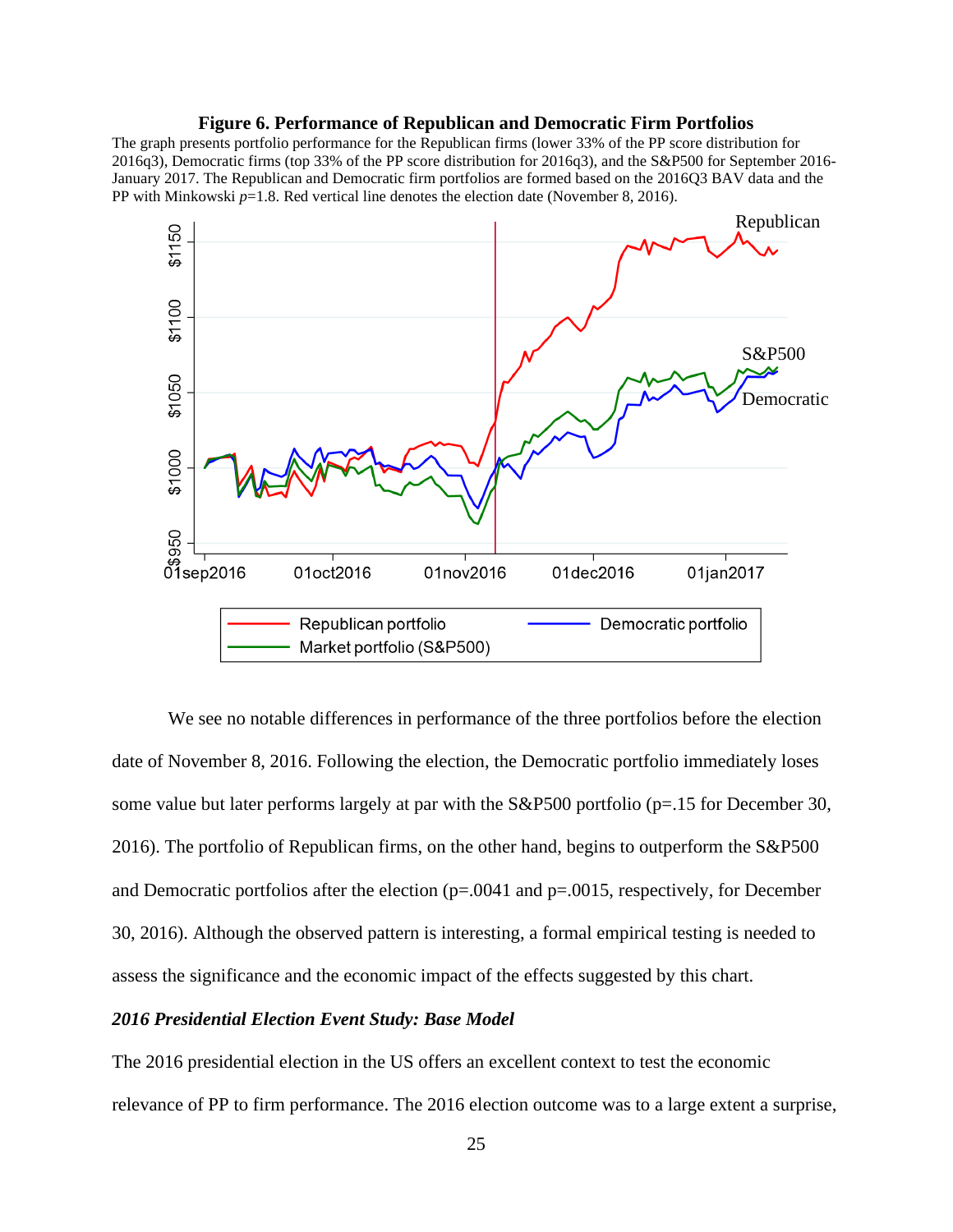#### **Figure 6. Performance of Republican and Democratic Firm Portfolios**

The graph presents portfolio performance for the Republican firms (lower 33% of the PP score distribution for 2016q3), Democratic firms (top 33% of the PP score distribution for 2016q3), and the S&P500 for September 2016- January 2017. The Republican and Democratic firm portfolios are formed based on the 2016Q3 BAV data and the PP with Minkowski  $p=1.8$ . Red vertical line denotes the election date (November 8, 2016).



We see no notable differences in performance of the three portfolios before the election date of November 8, 2016. Following the election, the Democratic portfolio immediately loses some value but later performs largely at par with the S&P500 portfolio (p=.15 for December 30, 2016). The portfolio of Republican firms, on the other hand, begins to outperform the S&P500 and Democratic portfolios after the election (p=.0041 and p=.0015, respectively, for December 30, 2016). Although the observed pattern is interesting, a formal empirical testing is needed to assess the significance and the economic impact of the effects suggested by this chart.

#### *2016 Presidential Election Event Study: Base Model*

The 2016 presidential election in the US offers an excellent context to test the economic relevance of PP to firm performance. The 2016 election outcome was to a large extent a surprise,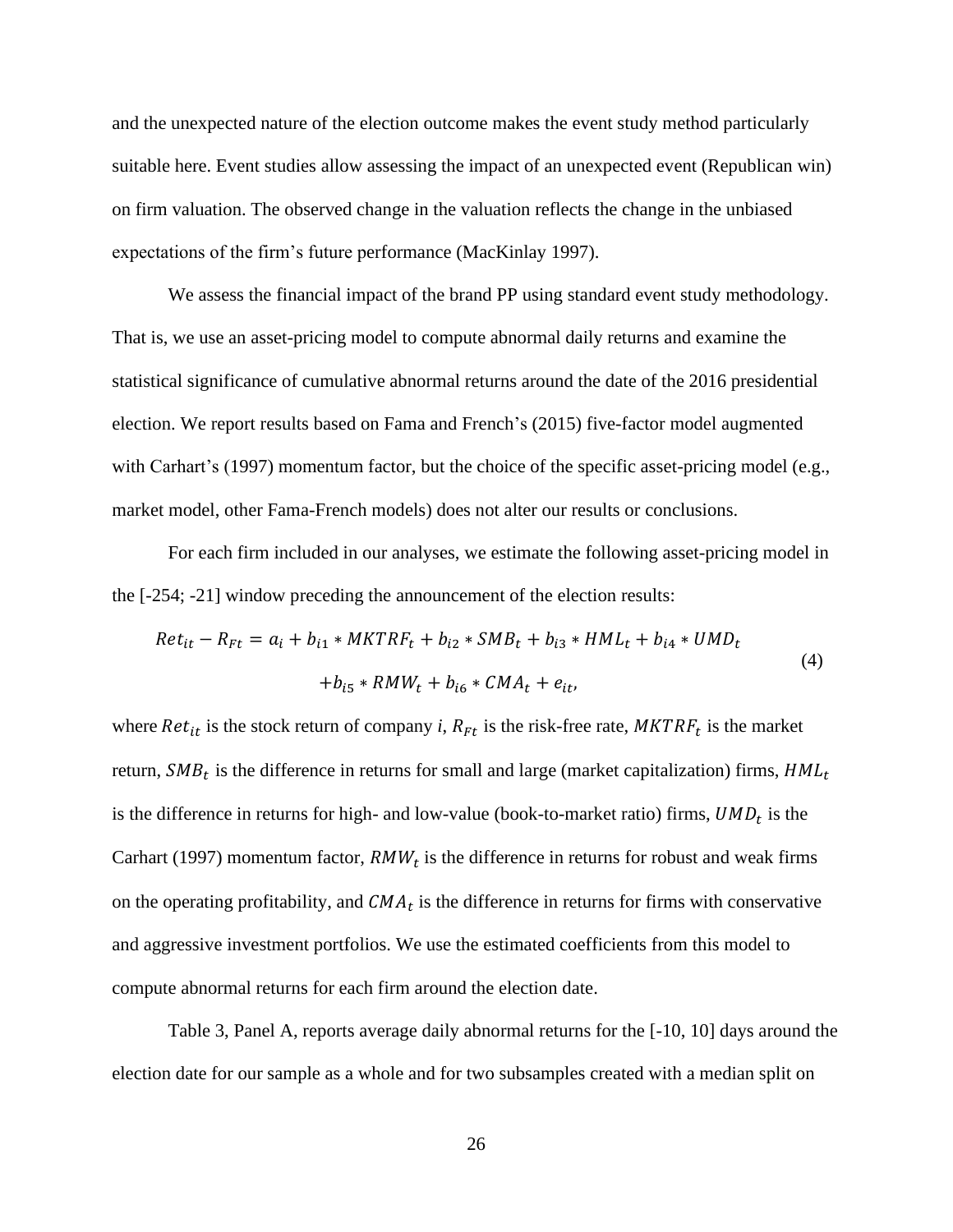and the unexpected nature of the election outcome makes the event study method particularly suitable here. Event studies allow assessing the impact of an unexpected event (Republican win) on firm valuation. The observed change in the valuation reflects the change in the unbiased expectations of the firm's future performance (MacKinlay 1997).

We assess the financial impact of the brand PP using standard event study methodology. That is, we use an asset-pricing model to compute abnormal daily returns and examine the statistical significance of cumulative abnormal returns around the date of the 2016 presidential election. We report results based on Fama and French's (2015) five-factor model augmented with Carhart's (1997) momentum factor, but the choice of the specific asset-pricing model (e.g., market model, other Fama-French models) does not alter our results or conclusions.

For each firm included in our analyses, we estimate the following asset-pricing model in the [-254; -21] window preceding the announcement of the election results:

$$
Ret_{it} - R_{Ft} = a_i + b_{i1} * MKTRF_t + b_{i2} * SMB_t + b_{i3} * HML_t + b_{i4} * UMD_t
$$
  
+  $b_{i5} * RMW_t + b_{i6} * CMA_t + e_{it}$ , (4)

where  $Ret_{it}$  is the stock return of company *i*,  $R_{Ft}$  is the risk-free rate,  $MKTRF_t$  is the market return,  $SMB_t$  is the difference in returns for small and large (market capitalization) firms,  $HML_t$ is the difference in returns for high- and low-value (book-to-market ratio) firms,  $UMD_t$  is the Carhart (1997) momentum factor,  $RMW_t$  is the difference in returns for robust and weak firms on the operating profitability, and  $CMA_t$  is the difference in returns for firms with conservative and aggressive investment portfolios. We use the estimated coefficients from this model to compute abnormal returns for each firm around the election date.

Table 3, Panel A, reports average daily abnormal returns for the [-10, 10] days around the election date for our sample as a whole and for two subsamples created with a median split on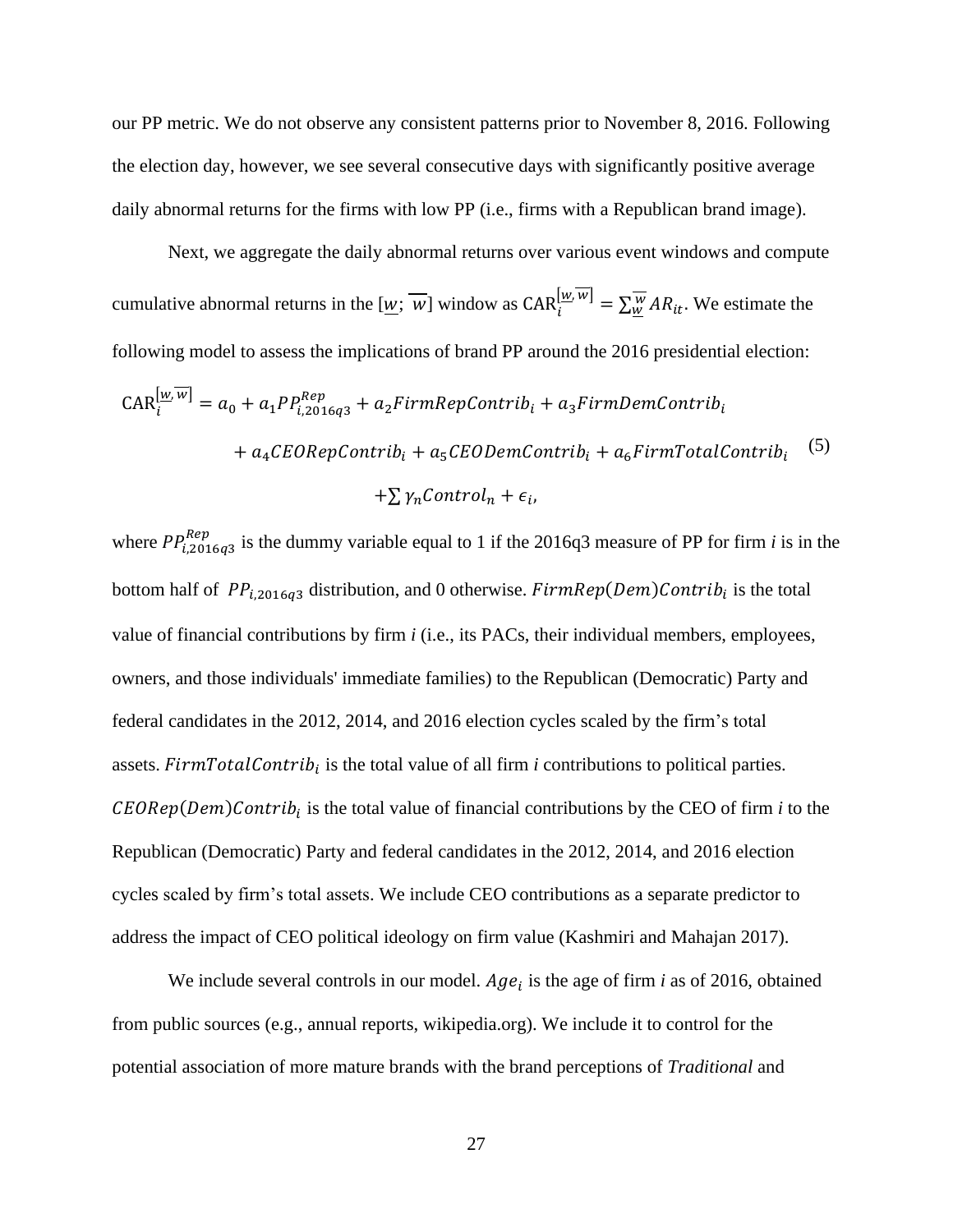our PP metric. We do not observe any consistent patterns prior to November 8, 2016. Following the election day, however, we see several consecutive days with significantly positive average daily abnormal returns for the firms with low PP (i.e., firms with a Republican brand image).

Next, we aggregate the daily abnormal returns over various event windows and compute cumulative abnormal returns in the  $[\underline{w}; \overline{w}]$  window as  $CAR_i^{[\underline{w}, w]} = \sum_{\underline{w}}^{\overline{w}} AR_{it}$ . We estimate the following model to assess the implications of brand PP around the 2016 presidential election:

$$
CAR_{i}^{[\underline{w}, \overline{w}]} = a_0 + a_1 P P_{i,2016q3}^{Rep} + a_2 FirmRepContrib_i + a_3 FirmDemContrib_i
$$
  
+ 
$$
a_4 CEORepContrib_i + a_5 CEODemContrib_i + a_6 FirmTotalContrib_i \t(5)
$$
  
+ 
$$
\sum \gamma_n Control_n + \epsilon_i,
$$

where  $PP_{i,2016q3}^{Rep}$  is the dummy variable equal to 1 if the 2016q3 measure of PP for firm *i* is in the bottom half of  $PP_{i,2016q3}$  distribution, and 0 otherwise.  $FirmRep(Dem)$ Contrib<sub>i</sub> is the total value of financial contributions by firm *i* (i.e., its PACs, their individual members, employees, owners, and those individuals' immediate families) to the Republican (Democratic) Party and federal candidates in the 2012, 2014, and 2016 election cycles scaled by the firm's total assets.  $FirmTotalContrib<sub>i</sub>$  is the total value of all firm *i* contributions to political parties.  $CEORep(Dem)$ Contrib<sub>i</sub> is the total value of financial contributions by the CEO of firm *i* to the Republican (Democratic) Party and federal candidates in the 2012, 2014, and 2016 election cycles scaled by firm's total assets. We include CEO contributions as a separate predictor to address the impact of CEO political ideology on firm value (Kashmiri and Mahajan 2017).

We include several controls in our model.  $Age_i$  is the age of firm *i* as of 2016, obtained from public sources (e.g., annual reports, wikipedia.org). We include it to control for the potential association of more mature brands with the brand perceptions of *Traditional* and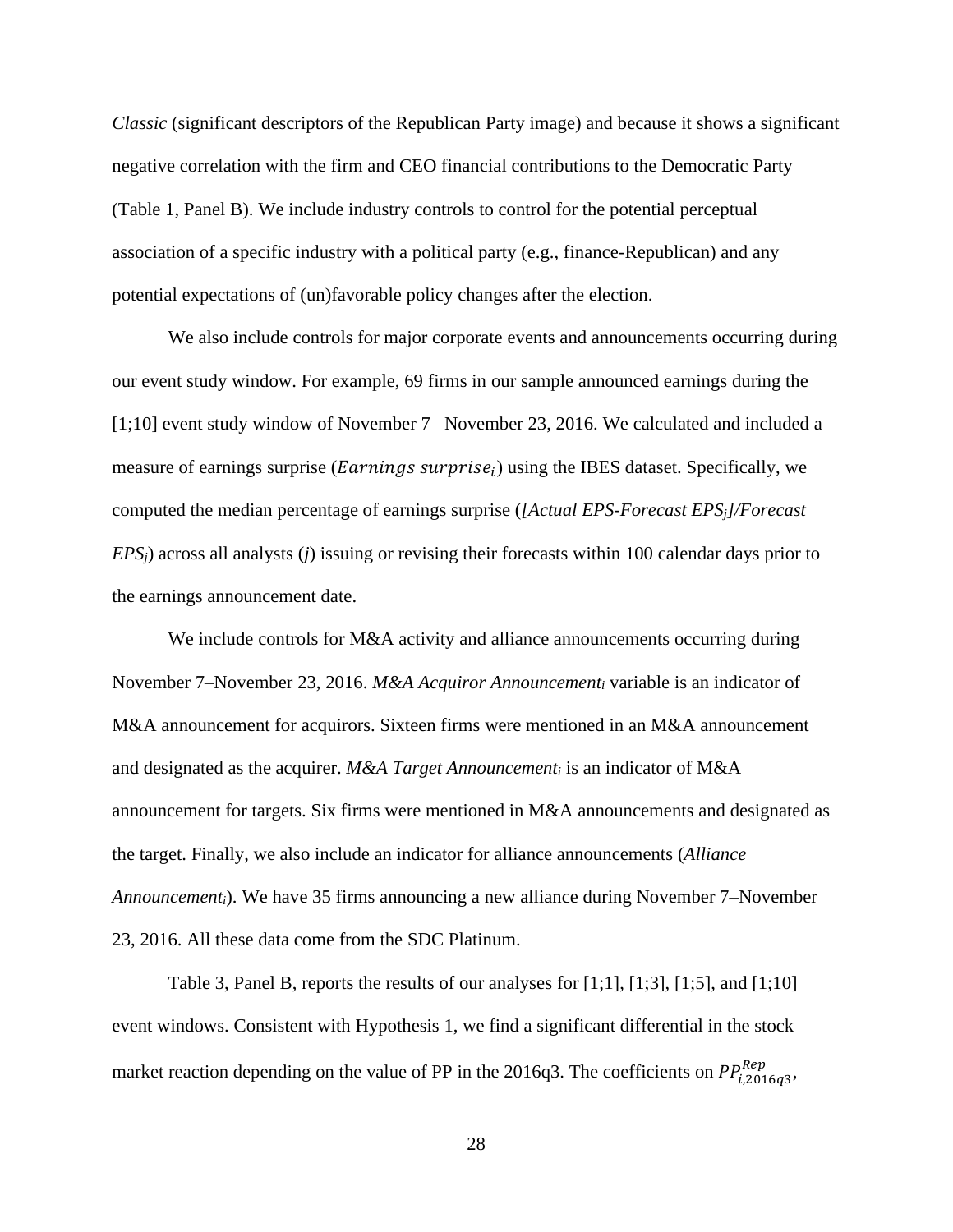*Classic* (significant descriptors of the Republican Party image) and because it shows a significant negative correlation with the firm and CEO financial contributions to the Democratic Party (Table 1, Panel B). We include industry controls to control for the potential perceptual association of a specific industry with a political party (e.g., finance-Republican) and any potential expectations of (un)favorable policy changes after the election.

We also include controls for major corporate events and announcements occurring during our event study window. For example, 69 firms in our sample announced earnings during the [1;10] event study window of November 7– November 23, 2016. We calculated and included a measure of earnings surprise (Earnings surprise<sub>i</sub>) using the IBES dataset. Specifically, we computed the median percentage of earnings surprise (*[Actual EPS-Forecast EPSj]/Forecast EPSj*) across all analysts (*j*) issuing or revising their forecasts within 100 calendar days prior to the earnings announcement date.

We include controls for M&A activity and alliance announcements occurring during November 7–November 23, 2016. *M&A Acquiror Announcement<sup>i</sup>* variable is an indicator of M&A announcement for acquirors. Sixteen firms were mentioned in an M&A announcement and designated as the acquirer. *M&A Target Announcement<sup>i</sup>* is an indicator of M&A announcement for targets. Six firms were mentioned in M&A announcements and designated as the target. Finally, we also include an indicator for alliance announcements (*Alliance Announcementi*). We have 35 firms announcing a new alliance during November 7–November 23, 2016. All these data come from the SDC Platinum.

Table 3, Panel B, reports the results of our analyses for  $[1;1]$ ,  $[1;3]$ ,  $[1;5]$ , and  $[1;10]$ event windows. Consistent with Hypothesis 1, we find a significant differential in the stock market reaction depending on the value of PP in the 2016q3. The coefficients on  $PP^{Rep}_{i,2016q3}$ ,

28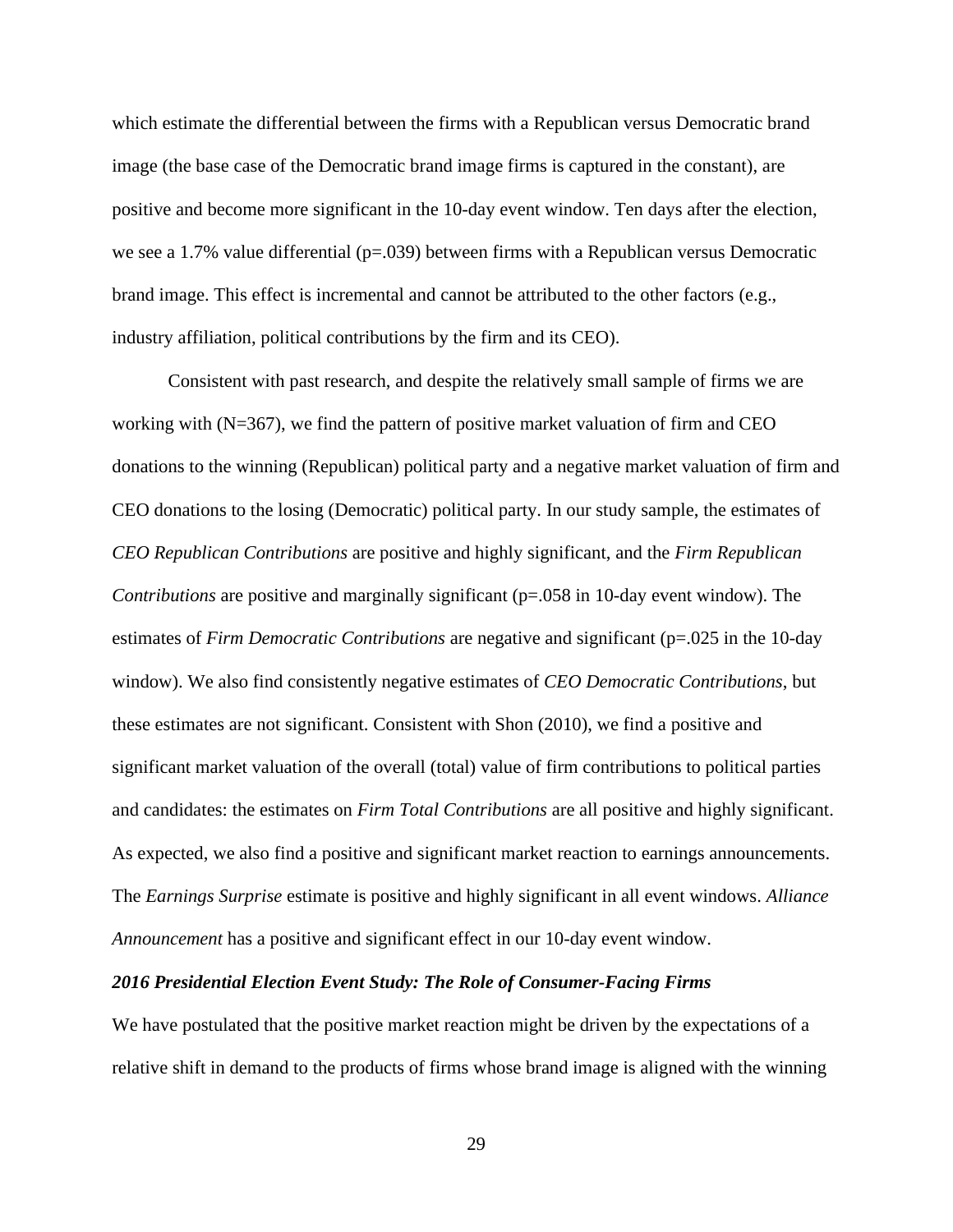which estimate the differential between the firms with a Republican versus Democratic brand image (the base case of the Democratic brand image firms is captured in the constant), are positive and become more significant in the 10-day event window. Ten days after the election, we see a 1.7% value differential ( $p=0.039$ ) between firms with a Republican versus Democratic brand image. This effect is incremental and cannot be attributed to the other factors (e.g., industry affiliation, political contributions by the firm and its CEO).

Consistent with past research, and despite the relatively small sample of firms we are working with  $(N=367)$ , we find the pattern of positive market valuation of firm and CEO donations to the winning (Republican) political party and a negative market valuation of firm and CEO donations to the losing (Democratic) political party. In our study sample, the estimates of *CEO Republican Contributions* are positive and highly significant, and the *Firm Republican Contributions* are positive and marginally significant (p=.058 in 10-day event window). The estimates of *Firm Democratic Contributions* are negative and significant (p=.025 in the 10-day window). We also find consistently negative estimates of *CEO Democratic Contributions*, but these estimates are not significant. Consistent with Shon (2010), we find a positive and significant market valuation of the overall (total) value of firm contributions to political parties and candidates: the estimates on *Firm Total Contributions* are all positive and highly significant. As expected, we also find a positive and significant market reaction to earnings announcements. The *Earnings Surprise* estimate is positive and highly significant in all event windows. *Alliance Announcement* has a positive and significant effect in our 10-day event window.

#### *2016 Presidential Election Event Study: The Role of Consumer-Facing Firms*

We have postulated that the positive market reaction might be driven by the expectations of a relative shift in demand to the products of firms whose brand image is aligned with the winning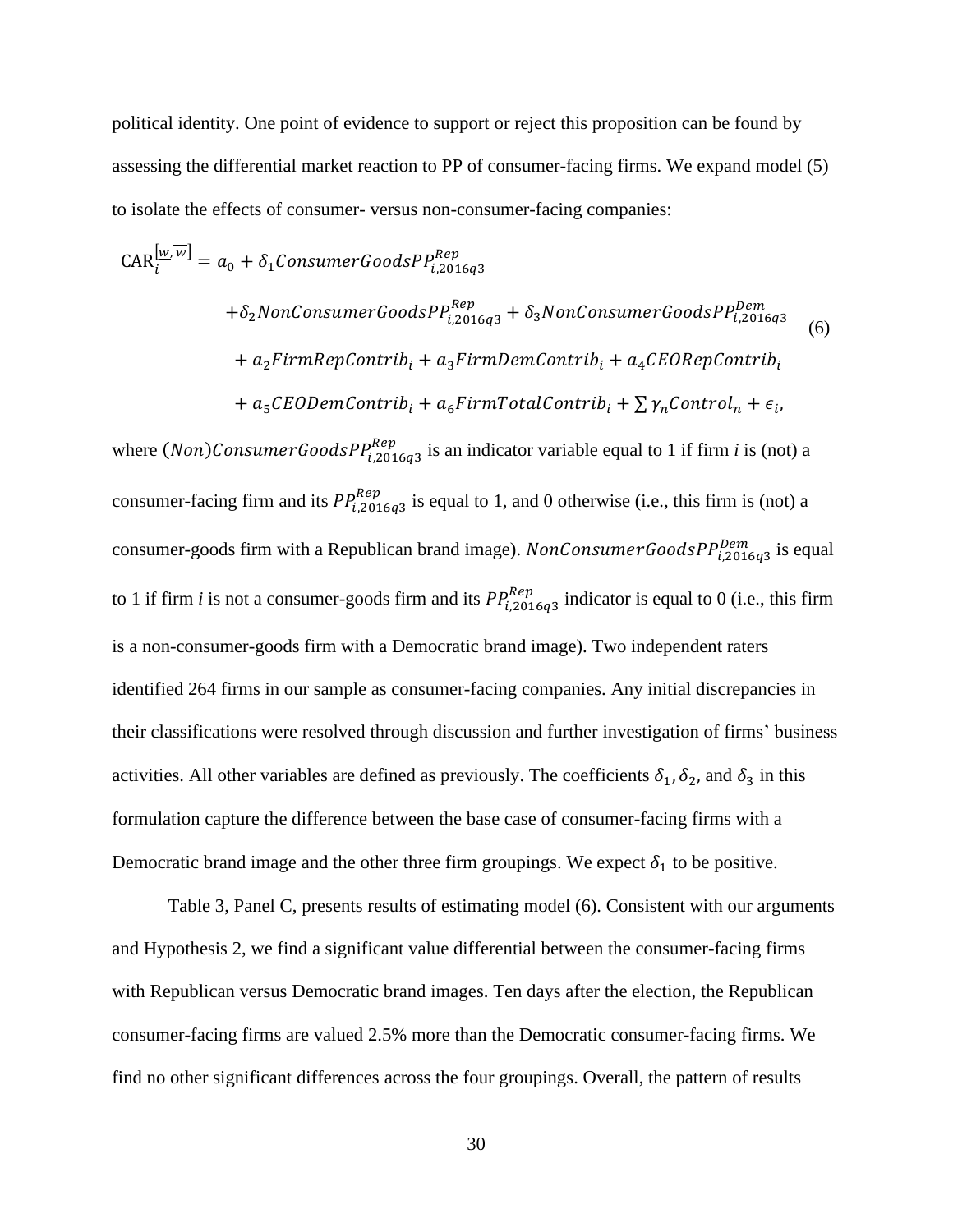political identity. One point of evidence to support or reject this proposition can be found by assessing the differential market reaction to PP of consumer-facing firms. We expand model (5) to isolate the effects of consumer- versus non-consumer-facing companies:

$$
CAR_{i}^{[\underline{w}, \overline{w}]} = a_{0} + \delta_{1}ConsumerGoodsPP_{i,2016q3}^{Rep}
$$
  
+  $\delta_{2}NonConsumerGoodsPP_{i,2016q3}^{Rep} + \delta_{3}NonConsumerGoodsPP_{i,2016q3}^{Dem}$   
+  $a_{2}FirmRepContrib_{i} + a_{3}FirmDemoContrib_{i} + a_{4}CEORepContrib_{i}$   
+  $a_{5}CEODemoContrib_{i} + a_{6}FirmTotalContrib_{i} + \sum \gamma_{n}Control_{n} + \epsilon_{i},$ 

where  $(Non) \textit{ConsumerGoods} \textit{PP}_{i,2016q3}^{\textit{Rep}}$  is an indicator variable equal to 1 if firm *i* is (not) a consumer-facing firm and its  $PP_{i,2016q3}^{Rep}$  is equal to 1, and 0 otherwise (i.e., this firm is (not) a consumer-goods firm with a Republican brand image). NonConsumerGoods $PP_{i,2016q3}^{Dem}$  is equal to 1 if firm *i* is not a consumer-goods firm and its  $PP_{i,2016q3}^{Rep}$  indicator is equal to 0 (i.e., this firm is a non-consumer-goods firm with a Democratic brand image). Two independent raters identified 264 firms in our sample as consumer-facing companies. Any initial discrepancies in their classifications were resolved through discussion and further investigation of firms' business activities. All other variables are defined as previously. The coefficients  $\delta_1$ ,  $\delta_2$ , and  $\delta_3$  in this formulation capture the difference between the base case of consumer-facing firms with a Democratic brand image and the other three firm groupings. We expect  $\delta_1$  to be positive.

Table 3, Panel C, presents results of estimating model (6). Consistent with our arguments and Hypothesis 2, we find a significant value differential between the consumer-facing firms with Republican versus Democratic brand images. Ten days after the election, the Republican consumer-facing firms are valued 2.5% more than the Democratic consumer-facing firms. We find no other significant differences across the four groupings. Overall, the pattern of results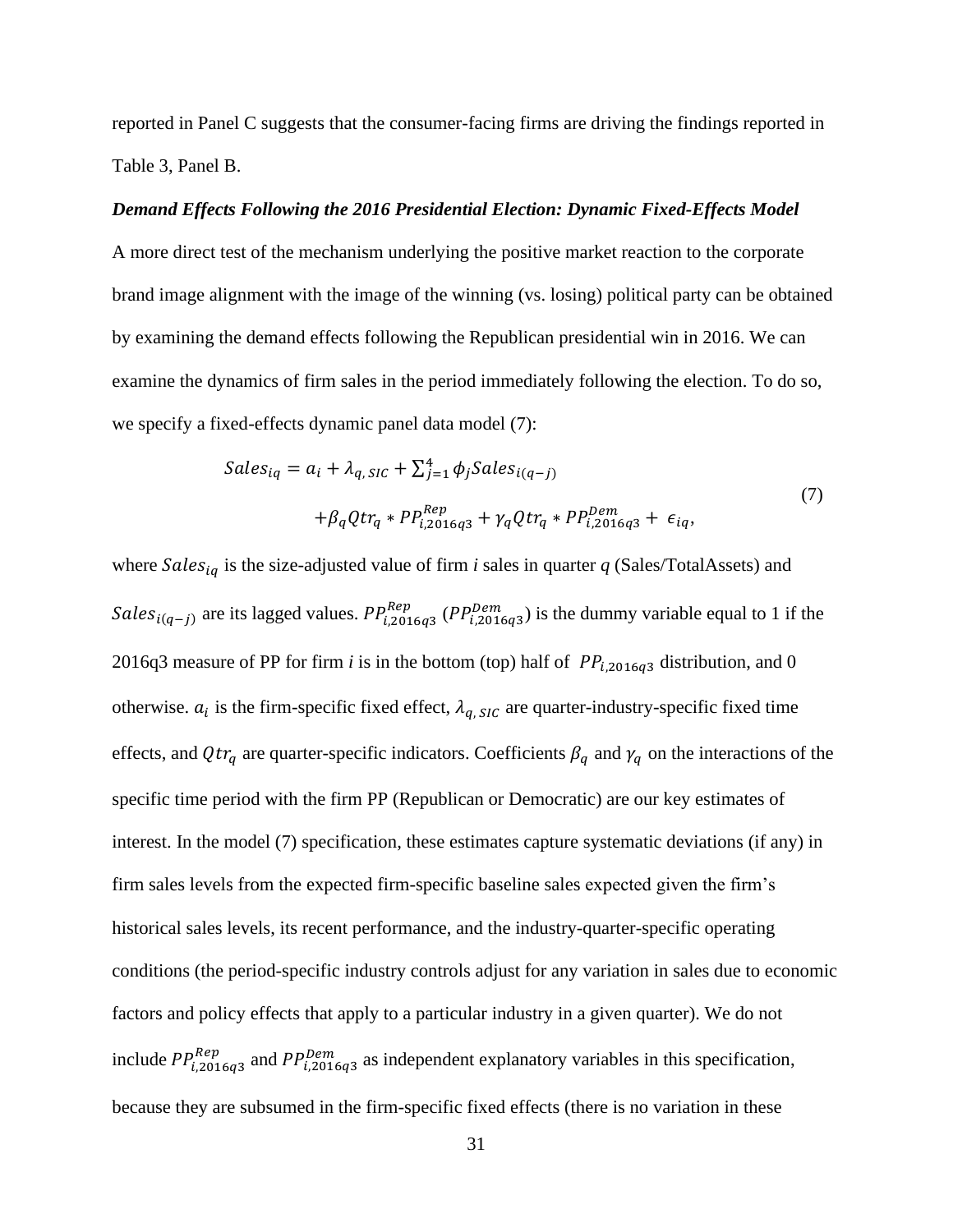reported in Panel C suggests that the consumer-facing firms are driving the findings reported in Table 3, Panel B.

#### *Demand Effects Following the 2016 Presidential Election: Dynamic Fixed-Effects Model*

A more direct test of the mechanism underlying the positive market reaction to the corporate brand image alignment with the image of the winning (vs. losing) political party can be obtained by examining the demand effects following the Republican presidential win in 2016. We can examine the dynamics of firm sales in the period immediately following the election. To do so, we specify a fixed-effects dynamic panel data model (7):

$$
Sales_{iq} = a_i + \lambda_{q, SIC} + \sum_{j=1}^{4} \phi_j Sales_{i(q-j)}
$$
  
+ $\beta_q Q tr_q * PP_{i, 2016q3}^{Rep} + \gamma_q Q tr_q * PP_{i, 2016q3}^{Dem}$  +  $\epsilon_{iq}$ , (7)

where  $Sales_{iq}$  is the size-adjusted value of firm *i* sales in quarter *q* (Sales/TotalAssets) and Sales<sub>i(q-j)</sub> are its lagged values.  $PP_{i,2016q3}^{Rep}$  ( $PP_{i,2016q3}^{Dem}$ ) is the dummy variable equal to 1 if the 2016q3 measure of PP for firm *i* is in the bottom (top) half of  $PP_{i,2016q3}$  distribution, and 0 otherwise.  $a_i$  is the firm-specific fixed effect,  $\lambda_{q, SIC}$  are quarter-industry-specific fixed time effects, and  $Qtr_q$  are quarter-specific indicators. Coefficients  $\beta_q$  and  $\gamma_q$  on the interactions of the specific time period with the firm PP (Republican or Democratic) are our key estimates of interest. In the model (7) specification, these estimates capture systematic deviations (if any) in firm sales levels from the expected firm-specific baseline sales expected given the firm's historical sales levels, its recent performance, and the industry-quarter-specific operating conditions (the period-specific industry controls adjust for any variation in sales due to economic factors and policy effects that apply to a particular industry in a given quarter). We do not include  $PP_{i,2016q3}^{Rep}$  and  $PP_{i,2016q3}^{Dem}$  as independent explanatory variables in this specification, because they are subsumed in the firm-specific fixed effects (there is no variation in these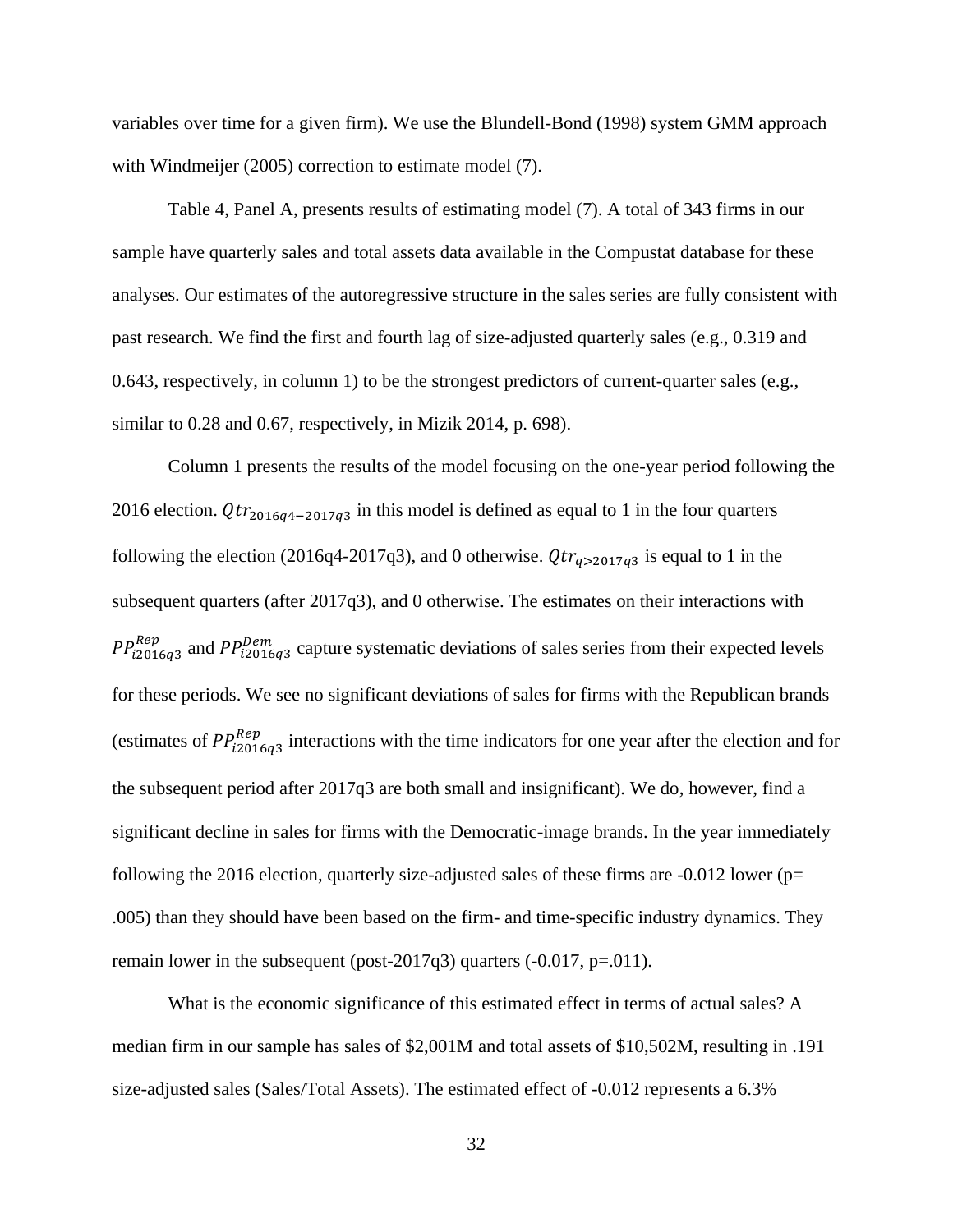variables over time for a given firm). We use the Blundell-Bond (1998) system GMM approach with Windmeijer (2005) correction to estimate model (7).

Table 4, Panel A, presents results of estimating model (7). A total of 343 firms in our sample have quarterly sales and total assets data available in the Compustat database for these analyses. Our estimates of the autoregressive structure in the sales series are fully consistent with past research. We find the first and fourth lag of size-adjusted quarterly sales (e.g., 0.319 and 0.643, respectively, in column 1) to be the strongest predictors of current-quarter sales (e.g., similar to 0.28 and 0.67, respectively, in Mizik 2014, p. 698).

Column 1 presents the results of the model focusing on the one-year period following the 2016 election.  $Qtr_{2016q4-2017q3}$  in this model is defined as equal to 1 in the four quarters following the election (2016q4-2017q3), and 0 otherwise.  $Qtr_{q>2017q3}$  is equal to 1 in the subsequent quarters (after 2017q3), and 0 otherwise. The estimates on their interactions with  $PP_{i2016q3}^{Rep}$  and  $PP_{i2016q3}^{Dem}$  capture systematic deviations of sales series from their expected levels for these periods. We see no significant deviations of sales for firms with the Republican brands (estimates of  $PP_{i2016q3}^{Rep}$  interactions with the time indicators for one year after the election and for the subsequent period after 2017q3 are both small and insignificant). We do, however, find a significant decline in sales for firms with the Democratic-image brands. In the year immediately following the 2016 election, quarterly size-adjusted sales of these firms are  $-0.012$  lower ( $p=$ .005) than they should have been based on the firm- and time-specific industry dynamics. They remain lower in the subsequent (post-2017q3) quarters  $(-0.017, p=.011)$ .

What is the economic significance of this estimated effect in terms of actual sales? A median firm in our sample has sales of \$2,001M and total assets of \$10,502M, resulting in .191 size-adjusted sales (Sales/Total Assets). The estimated effect of -0.012 represents a 6.3%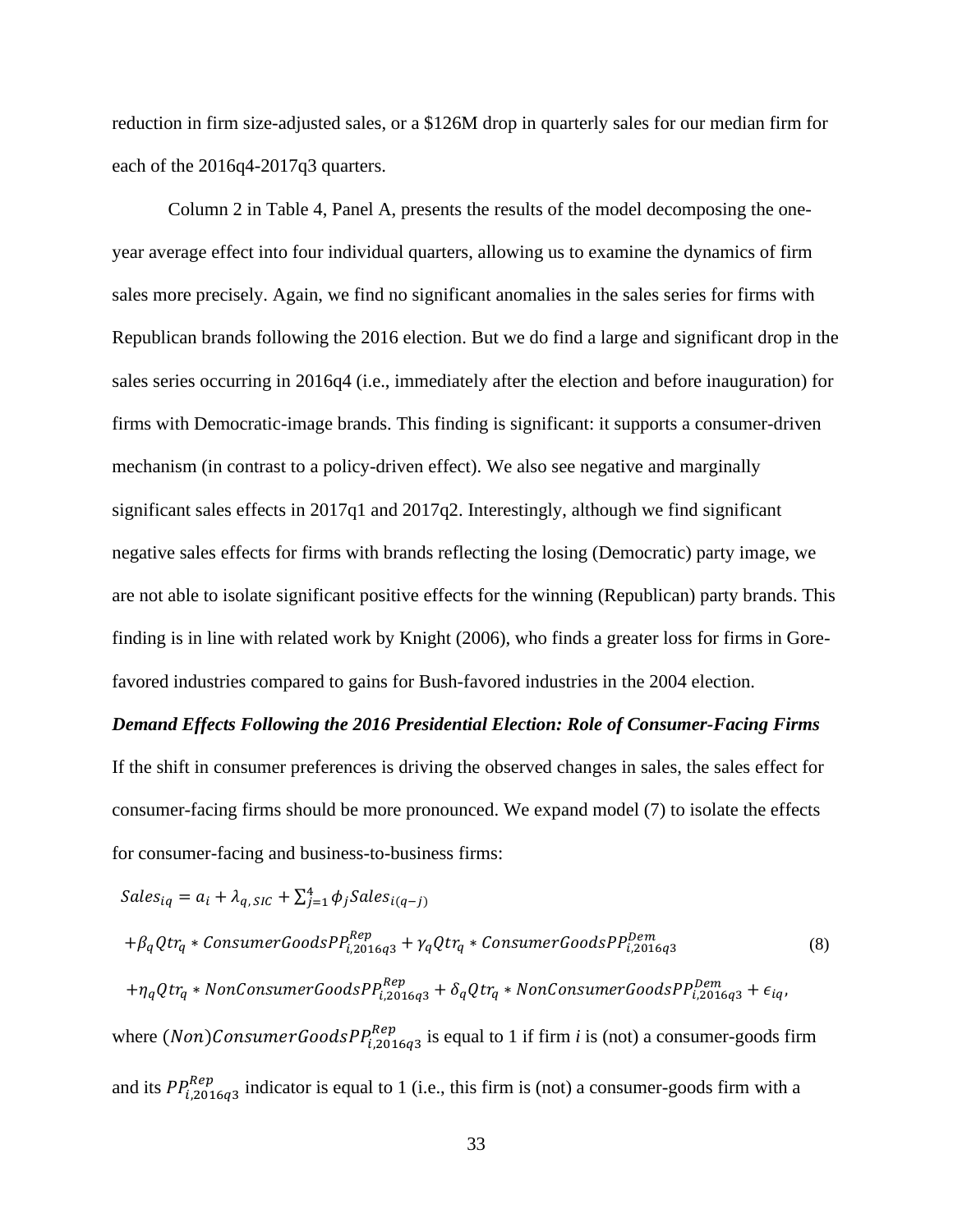reduction in firm size-adjusted sales, or a \$126M drop in quarterly sales for our median firm for each of the 2016q4-2017q3 quarters.

Column 2 in Table 4, Panel A, presents the results of the model decomposing the oneyear average effect into four individual quarters, allowing us to examine the dynamics of firm sales more precisely. Again, we find no significant anomalies in the sales series for firms with Republican brands following the 2016 election. But we do find a large and significant drop in the sales series occurring in 2016q4 (i.e., immediately after the election and before inauguration) for firms with Democratic-image brands. This finding is significant: it supports a consumer-driven mechanism (in contrast to a policy-driven effect). We also see negative and marginally significant sales effects in 2017q1 and 2017q2. Interestingly, although we find significant negative sales effects for firms with brands reflecting the losing (Democratic) party image, we are not able to isolate significant positive effects for the winning (Republican) party brands. This finding is in line with related work by Knight (2006), who finds a greater loss for firms in Gorefavored industries compared to gains for Bush-favored industries in the 2004 election.

# *Demand Effects Following the 2016 Presidential Election: Role of Consumer-Facing Firms* If the shift in consumer preferences is driving the observed changes in sales, the sales effect for consumer-facing firms should be more pronounced. We expand model (7) to isolate the effects for consumer-facing and business-to-business firms:

$$
Sales_{iq} = a_i + \lambda_{q, SIC} + \sum_{j=1}^{4} \phi_j Sales_{i(q-j)}
$$
  
+ $\beta_q Qtr_q * \text{ConsumerGoods} P_{i, 2016q3}^{Rep} + \gamma_q Qtr_q * \text{ConsumerGoods} P_{i, 2016q3}^{Dem}$  (8)  
+ $\eta_q Qtr_q * \text{NonConsumerGoods} P_{i, 2016q3}^{Rep} + \delta_q Qtr_q * \text{NonConsumerGoods} P_{i, 2016q3}^{Dem} + \epsilon_{iq},$   
where  $(\text{Non)ConsumerGoods} P_{i, 2016q3}^{Rep}$  is equal to 1 if firm *i* is (not) a consumer-goods firm  
and its  $P P_{i, 2016q3}^{Rep}$  indicator is equal to 1 (i.e., this firm is (not) a consumer-goods firm with a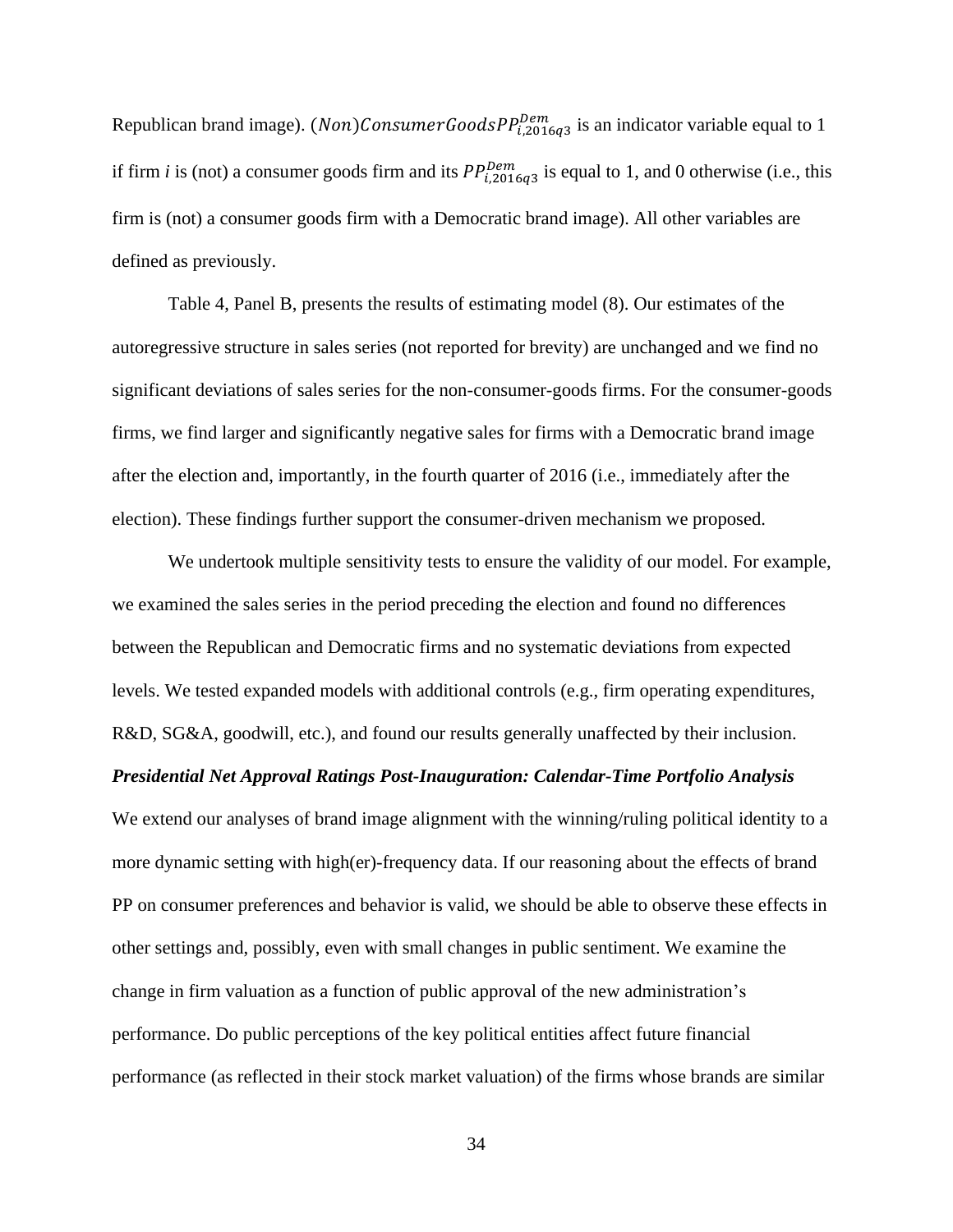Republican brand image). (*Non*)ConsumerGoodsP $P_{i,2016q3}^{Dem}$  is an indicator variable equal to 1 if firm *i* is (not) a consumer goods firm and its  $PP_{i,2016q3}^{Dem}$  is equal to 1, and 0 otherwise (i.e., this firm is (not) a consumer goods firm with a Democratic brand image). All other variables are defined as previously.

Table 4, Panel B, presents the results of estimating model (8). Our estimates of the autoregressive structure in sales series (not reported for brevity) are unchanged and we find no significant deviations of sales series for the non-consumer-goods firms. For the consumer-goods firms, we find larger and significantly negative sales for firms with a Democratic brand image after the election and, importantly, in the fourth quarter of 2016 (i.e., immediately after the election). These findings further support the consumer-driven mechanism we proposed.

We undertook multiple sensitivity tests to ensure the validity of our model. For example, we examined the sales series in the period preceding the election and found no differences between the Republican and Democratic firms and no systematic deviations from expected levels. We tested expanded models with additional controls (e.g., firm operating expenditures, R&D, SG&A, goodwill, etc.), and found our results generally unaffected by their inclusion. *Presidential Net Approval Ratings Post-Inauguration: Calendar-Time Portfolio Analysis* We extend our analyses of brand image alignment with the winning/ruling political identity to a

more dynamic setting with high(er)-frequency data. If our reasoning about the effects of brand PP on consumer preferences and behavior is valid, we should be able to observe these effects in other settings and, possibly, even with small changes in public sentiment. We examine the change in firm valuation as a function of public approval of the new administration's performance. Do public perceptions of the key political entities affect future financial performance (as reflected in their stock market valuation) of the firms whose brands are similar

34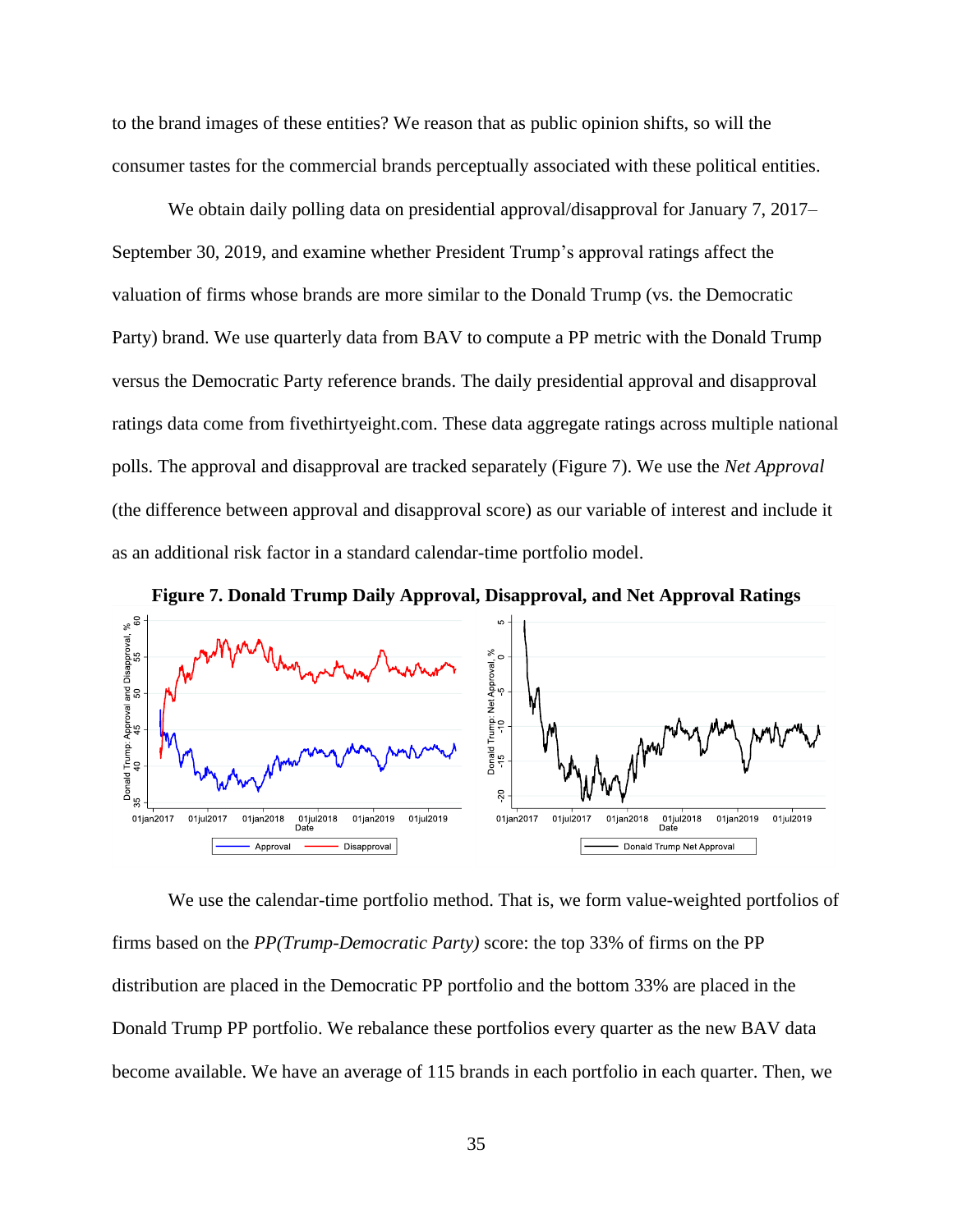to the brand images of these entities? We reason that as public opinion shifts, so will the consumer tastes for the commercial brands perceptually associated with these political entities.

We obtain daily polling data on presidential approval/disapproval for January 7, 2017– September 30, 2019, and examine whether President Trump's approval ratings affect the valuation of firms whose brands are more similar to the Donald Trump (vs. the Democratic Party) brand. We use quarterly data from BAV to compute a PP metric with the Donald Trump versus the Democratic Party reference brands. The daily presidential approval and disapproval ratings data come from fivethirtyeight.com. These data aggregate ratings across multiple national polls. The approval and disapproval are tracked separately (Figure 7). We use the *Net Approval* (the difference between approval and disapproval score) as our variable of interest and include it as an additional risk factor in a standard calendar-time portfolio model.



We use the calendar-time portfolio method. That is, we form value-weighted portfolios of firms based on the *PP(Trump-Democratic Party)* score: the top 33% of firms on the PP distribution are placed in the Democratic PP portfolio and the bottom 33% are placed in the Donald Trump PP portfolio. We rebalance these portfolios every quarter as the new BAV data become available. We have an average of 115 brands in each portfolio in each quarter. Then, we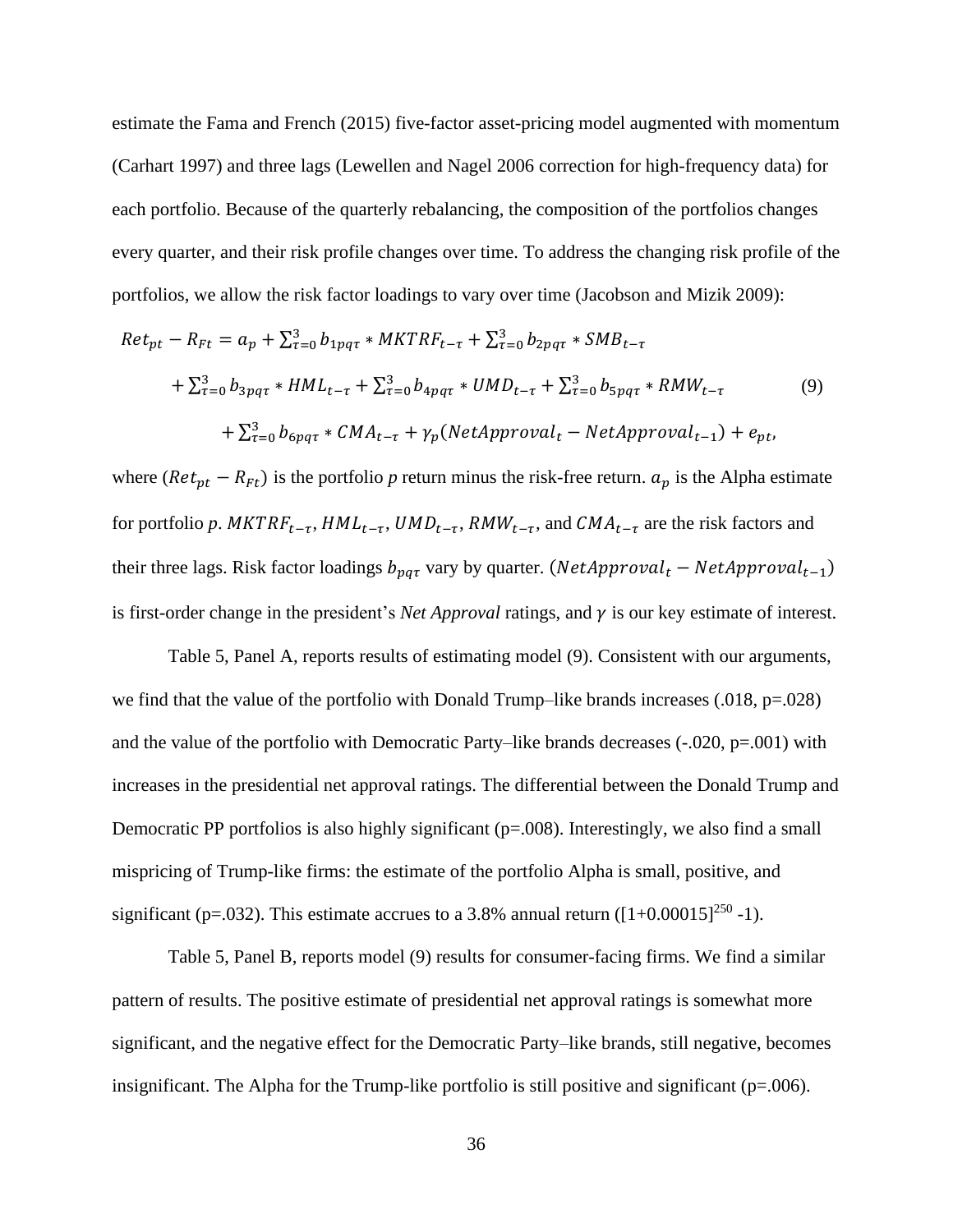estimate the Fama and French (2015) five-factor asset-pricing model augmented with momentum (Carhart 1997) and three lags (Lewellen and Nagel 2006 correction for high-frequency data) for each portfolio. Because of the quarterly rebalancing, the composition of the portfolios changes every quarter, and their risk profile changes over time. To address the changing risk profile of the portfolios, we allow the risk factor loadings to vary over time (Jacobson and Mizik 2009):

$$
Ret_{pt} - R_{Ft} = a_p + \sum_{\tau=0}^{3} b_{1pq\tau} * MKTRF_{t-\tau} + \sum_{\tau=0}^{3} b_{2pq\tau} * SMB_{t-\tau}
$$
  
+  $\sum_{\tau=0}^{3} b_{3pq\tau} * HML_{t-\tau} + \sum_{\tau=0}^{3} b_{4pq\tau} * UMD_{t-\tau} + \sum_{\tau=0}^{3} b_{5pq\tau} * RMW_{t-\tau}$  (9)  
+  $\sum_{\tau=0}^{3} b_{6pq\tau} * CMA_{t-\tau} + \gamma_p (NetApproxal_t - NetApproxal_{t-1}) + e_{pt}$ ,

where ( $Ret_{pt} - R_{Ft}$ ) is the portfolio *p* return minus the risk-free return.  $a_p$  is the Alpha estimate for portfolio p.  $MKTRF_{t-\tau}$ ,  $HML_{t-\tau}$ ,  $UMD_{t-\tau}$ ,  $RMW_{t-\tau}$ , and  $CMA_{t-\tau}$  are the risk factors and their three lags. Risk factor loadings  $b_{pq\tau}$  vary by quarter. (*NetApproval<sub>t</sub>* – *NetApproval<sub>t</sub>*-1) is first-order change in the president's *Net Approval* ratings, and  $\gamma$  is our key estimate of interest.

Table 5, Panel A, reports results of estimating model (9). Consistent with our arguments, we find that the value of the portfolio with Donald Trump–like brands increases  $(.018, p=.028)$ and the value of the portfolio with Democratic Party–like brands decreases  $(-.020, p=.001)$  with increases in the presidential net approval ratings. The differential between the Donald Trump and Democratic PP portfolios is also highly significant  $(p=008)$ . Interestingly, we also find a small mispricing of Trump-like firms: the estimate of the portfolio Alpha is small, positive, and significant (p=.032). This estimate accrues to a 3.8% annual return ( $[1+0.00015]^{250}$  -1).

Table 5, Panel B, reports model (9) results for consumer-facing firms. We find a similar pattern of results. The positive estimate of presidential net approval ratings is somewhat more significant, and the negative effect for the Democratic Party–like brands, still negative, becomes insignificant. The Alpha for the Trump-like portfolio is still positive and significant ( $p=006$ ).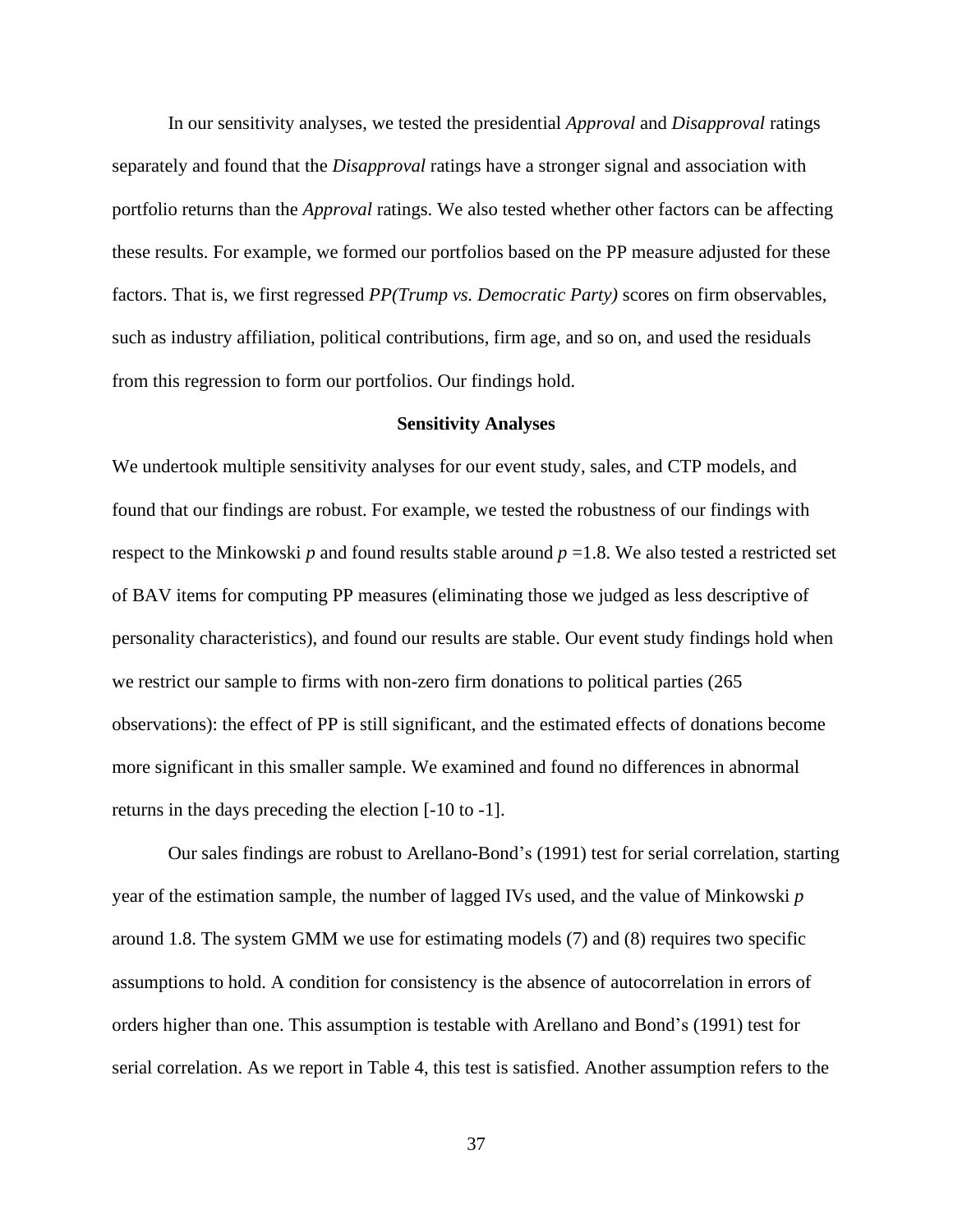In our sensitivity analyses, we tested the presidential *Approval* and *Disapproval* ratings separately and found that the *Disapproval* ratings have a stronger signal and association with portfolio returns than the *Approval* ratings. We also tested whether other factors can be affecting these results. For example, we formed our portfolios based on the PP measure adjusted for these factors. That is, we first regressed *PP(Trump vs. Democratic Party)* scores on firm observables, such as industry affiliation, political contributions, firm age, and so on, and used the residuals from this regression to form our portfolios. Our findings hold.

#### **Sensitivity Analyses**

We undertook multiple sensitivity analyses for our event study, sales, and CTP models, and found that our findings are robust. For example, we tested the robustness of our findings with respect to the Minkowski  $p$  and found results stable around  $p = 1.8$ . We also tested a restricted set of BAV items for computing PP measures (eliminating those we judged as less descriptive of personality characteristics), and found our results are stable. Our event study findings hold when we restrict our sample to firms with non-zero firm donations to political parties (265 observations): the effect of PP is still significant, and the estimated effects of donations become more significant in this smaller sample. We examined and found no differences in abnormal returns in the days preceding the election [-10 to -1].

Our sales findings are robust to Arellano-Bond's (1991) test for serial correlation, starting year of the estimation sample, the number of lagged IVs used, and the value of Minkowski *p* around 1.8. The system GMM we use for estimating models (7) and (8) requires two specific assumptions to hold. A condition for consistency is the absence of autocorrelation in errors of orders higher than one. This assumption is testable with Arellano and Bond's (1991) test for serial correlation. As we report in Table 4, this test is satisfied. Another assumption refers to the

37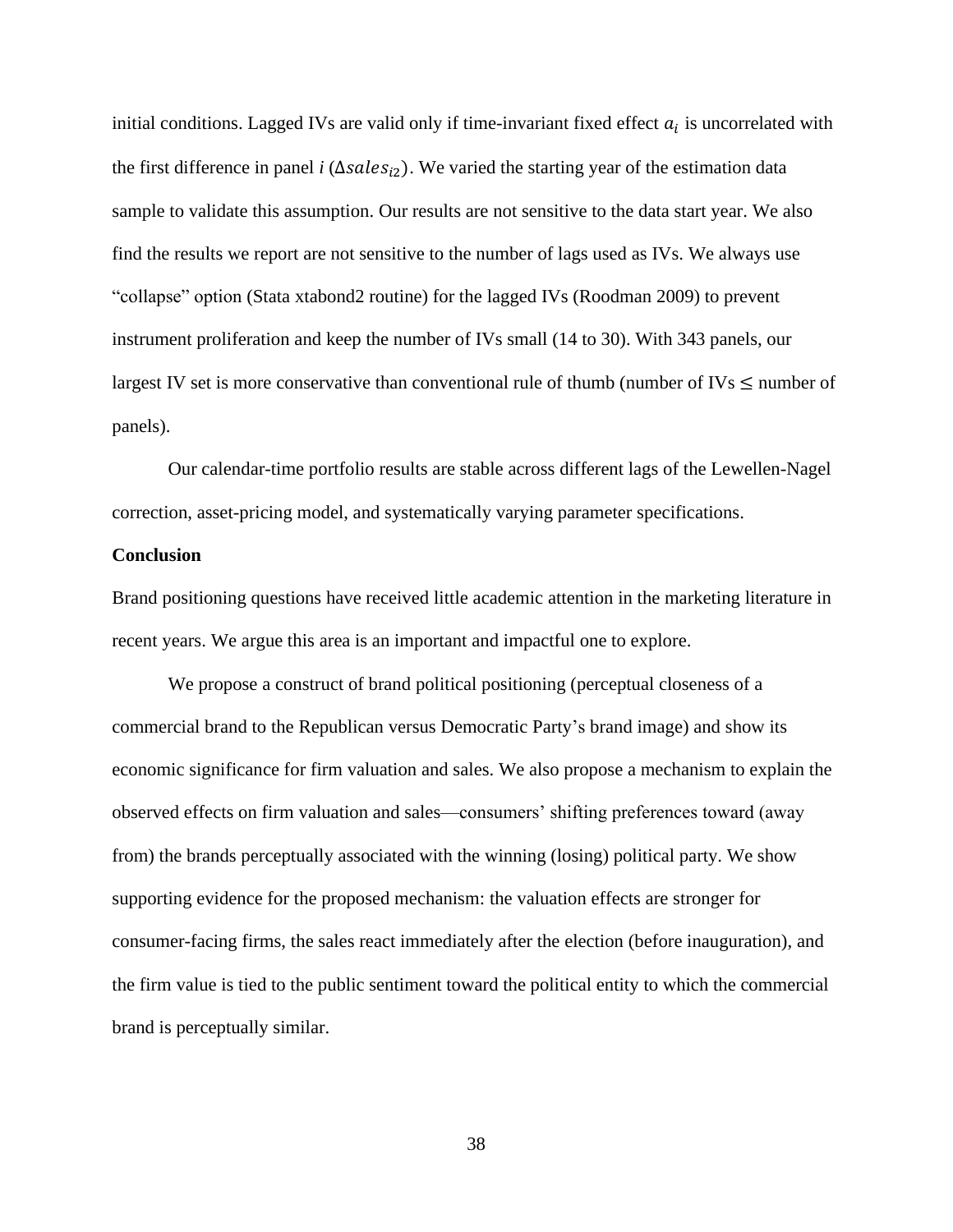initial conditions. Lagged IVs are valid only if time-invariant fixed effect  $a_i$  is uncorrelated with the first difference in panel *i* (∆sales<sub>i2</sub>). We varied the starting year of the estimation data sample to validate this assumption. Our results are not sensitive to the data start year. We also find the results we report are not sensitive to the number of lags used as IVs. We always use "collapse" option (Stata xtabond2 routine) for the lagged IVs (Roodman 2009) to prevent instrument proliferation and keep the number of IVs small (14 to 30). With 343 panels, our largest IV set is more conservative than conventional rule of thumb (number of IVs  $\leq$  number of panels).

Our calendar-time portfolio results are stable across different lags of the Lewellen-Nagel correction, asset-pricing model, and systematically varying parameter specifications.

#### **Conclusion**

Brand positioning questions have received little academic attention in the marketing literature in recent years. We argue this area is an important and impactful one to explore.

We propose a construct of brand political positioning (perceptual closeness of a commercial brand to the Republican versus Democratic Party's brand image) and show its economic significance for firm valuation and sales. We also propose a mechanism to explain the observed effects on firm valuation and sales—consumers' shifting preferences toward (away from) the brands perceptually associated with the winning (losing) political party. We show supporting evidence for the proposed mechanism: the valuation effects are stronger for consumer-facing firms, the sales react immediately after the election (before inauguration), and the firm value is tied to the public sentiment toward the political entity to which the commercial brand is perceptually similar.

38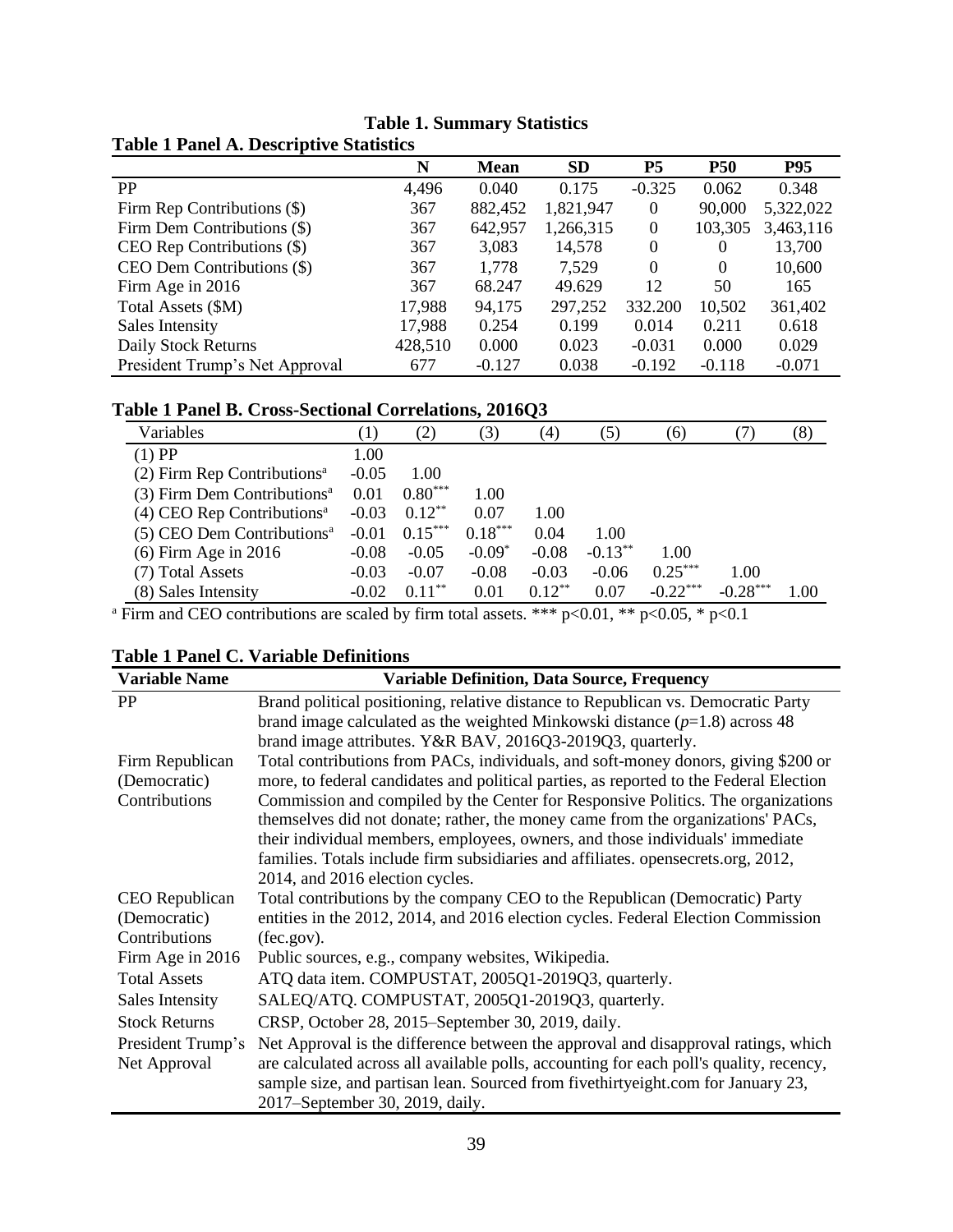|                                | N       | <b>Mean</b> | <b>SD</b> | P <sub>5</sub> | <b>P50</b> | <b>P95</b> |
|--------------------------------|---------|-------------|-----------|----------------|------------|------------|
| <b>PP</b>                      | 4,496   | 0.040       | 0.175     | $-0.325$       | 0.062      | 0.348      |
| Firm Rep Contributions (\$)    | 367     | 882,452     | 1,821,947 | 0              | 90,000     | 5,322,022  |
| Firm Dem Contributions (\$)    | 367     | 642,957     | 1,266,315 | 0              | 103,305    | 3,463,116  |
| CEO Rep Contributions (\$)     | 367     | 3,083       | 14,578    | $\Omega$       | 0          | 13,700     |
| CEO Dem Contributions (\$)     | 367     | 1,778       | 7,529     | $\Omega$       | $\theta$   | 10,600     |
| Firm Age in 2016               | 367     | 68.247      | 49.629    | 12             | 50         | 165        |
| Total Assets (\$M)             | 17,988  | 94,175      | 297,252   | 332.200        | 10,502     | 361,402    |
| Sales Intensity                | 17,988  | 0.254       | 0.199     | 0.014          | 0.211      | 0.618      |
| Daily Stock Returns            | 428,510 | 0.000       | 0.023     | $-0.031$       | 0.000      | 0.029      |
| President Trump's Net Approval | 677     | $-0.127$    | 0.038     | $-0.192$       | $-0.118$   | $-0.071$   |

# **Table 1. Summary Statistics Table 1 Panel A. Descriptive Statistics**

# **Table 1 Panel B. Cross-Sectional Correlations, 2016Q3**

| Variables                                 |         | $\left( 2\right)$ | 3)        | $\left(4\right)$ | (5)        | (6)        |            | (8)      |
|-------------------------------------------|---------|-------------------|-----------|------------------|------------|------------|------------|----------|
| $(1)$ PP                                  | 1.00    |                   |           |                  |            |            |            |          |
| $(2)$ Firm Rep Contributions <sup>a</sup> | $-0.05$ | 1.00              |           |                  |            |            |            |          |
| (3) Firm Dem Contributions <sup>a</sup>   | 0.01    | $0.80***$         | 1.00      |                  |            |            |            |          |
| $(4)$ CEO Rep Contributions <sup>a</sup>  | $-0.03$ | $0.12***$         | 0.07      | 1.00             |            |            |            |          |
| $(5)$ CEO Dem Contributions <sup>a</sup>  | $-0.01$ | $0.15***$         | $0.18***$ | 0.04             | 1.00       |            |            |          |
| $(6)$ Firm Age in 2016                    | $-0.08$ | $-0.05$           | $-0.09*$  | $-0.08$          | $-0.13***$ | 1.00       |            |          |
| (7) Total Assets                          | $-0.03$ | $-0.07$           | $-0.08$   | $-0.03$          | $-0.06$    | $0.25***$  | 1.00       |          |
| (8) Sales Intensity                       | $-0.02$ | $0.11***$         | 0.01      | $0.12***$        | 0.07       | $-0.22***$ | $-0.28***$ | $1.00\,$ |

<sup>a</sup> Firm and CEO contributions are scaled by firm total assets. \*\*\*  $p<0.01$ , \*\*  $p<0.05$ , \*  $p<0.1$ 

| <b>Variable Name</b> | <b>Variable Definition, Data Source, Frequency</b>                                      |
|----------------------|-----------------------------------------------------------------------------------------|
| PP                   | Brand political positioning, relative distance to Republican vs. Democratic Party       |
|                      | brand image calculated as the weighted Minkowski distance $(p=1.8)$ across 48           |
|                      | brand image attributes. Y&R BAV, 2016Q3-2019Q3, quarterly.                              |
| Firm Republican      | Total contributions from PACs, individuals, and soft-money donors, giving \$200 or      |
| (Democratic)         | more, to federal candidates and political parties, as reported to the Federal Election  |
| Contributions        | Commission and compiled by the Center for Responsive Politics. The organizations        |
|                      | themselves did not donate; rather, the money came from the organizations' PACs,         |
|                      | their individual members, employees, owners, and those individuals' immediate           |
|                      | families. Totals include firm subsidiaries and affiliates. opensecrets.org, 2012,       |
|                      | 2014, and 2016 election cycles.                                                         |
| CEO Republican       | Total contributions by the company CEO to the Republican (Democratic) Party             |
| (Democratic)         | entities in the 2012, 2014, and 2016 election cycles. Federal Election Commission       |
| Contributions        | (fec.gov).                                                                              |
| Firm Age in 2016     | Public sources, e.g., company websites, Wikipedia.                                      |
| <b>Total Assets</b>  | ATQ data item. COMPUSTAT, 2005Q1-2019Q3, quarterly.                                     |
| Sales Intensity      | SALEQ/ATQ. COMPUSTAT, 2005Q1-2019Q3, quarterly.                                         |
| <b>Stock Returns</b> | CRSP, October 28, 2015–September 30, 2019, daily.                                       |
| President Trump's    | Net Approval is the difference between the approval and disapproval ratings, which      |
| Net Approval         | are calculated across all available polls, accounting for each poll's quality, recency, |
|                      | sample size, and partisan lean. Sourced from five thirty eight.com for January 23,      |
|                      | 2017–September 30, 2019, daily.                                                         |

# **Table 1 Panel C. Variable Definitions**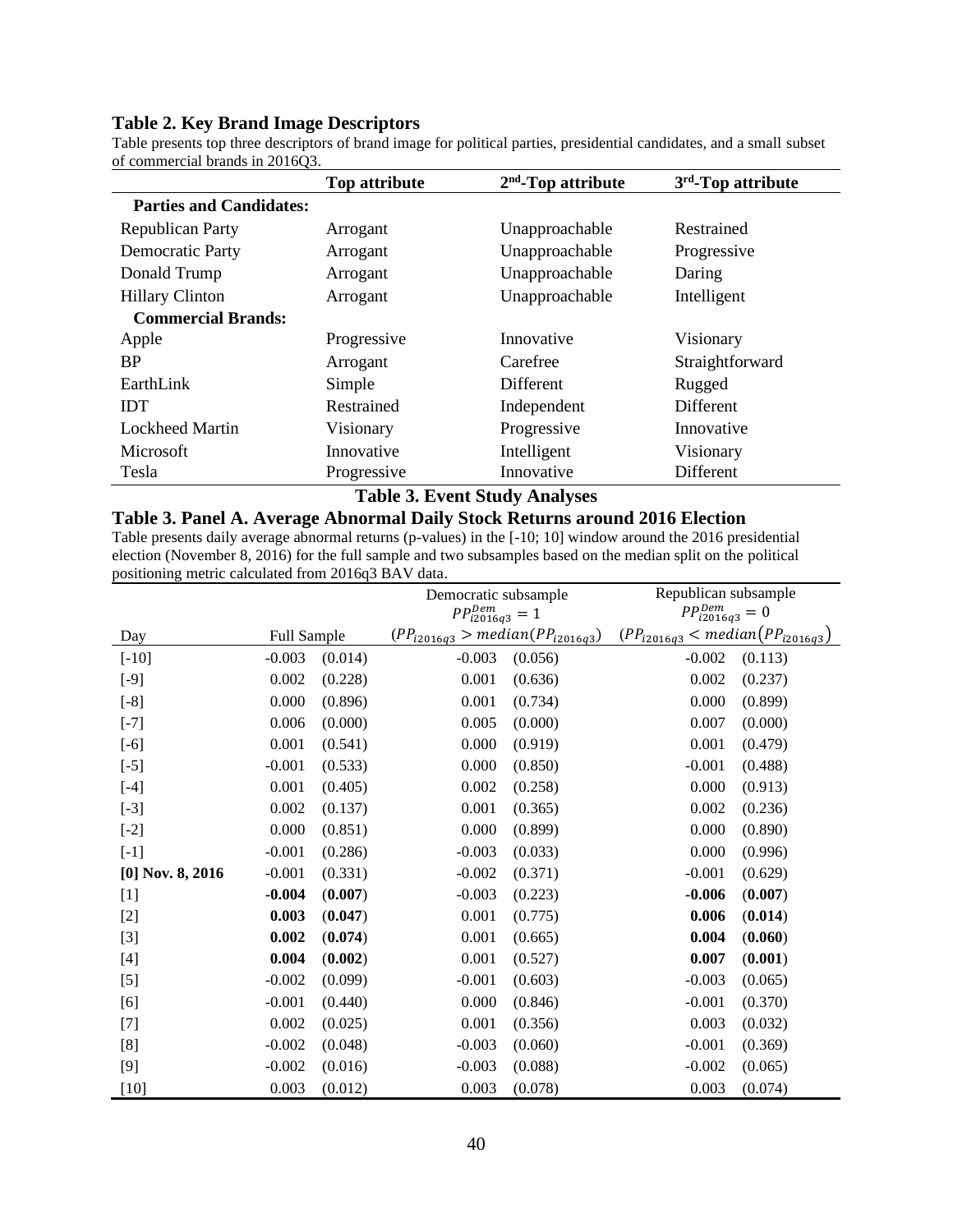#### **Table 2. Key Brand Image Descriptors**

Table presents top three descriptors of brand image for political parties, presidential candidates, and a small subset of commercial brands in 2016Q3.

|                                | <b>Top attribute</b> | $2nd$ -Top attribute | $3rd$ -Top attribute |
|--------------------------------|----------------------|----------------------|----------------------|
| <b>Parties and Candidates:</b> |                      |                      |                      |
| <b>Republican Party</b>        | Arrogant             | Unapproachable       | Restrained           |
| Democratic Party               | Arrogant             | Unapproachable       | Progressive          |
| Donald Trump                   | Arrogant             | Unapproachable       | Daring               |
| <b>Hillary Clinton</b>         | Arrogant             | Unapproachable       | Intelligent          |
| <b>Commercial Brands:</b>      |                      |                      |                      |
| Apple                          | Progressive          | Innovative           | Visionary            |
| <b>BP</b>                      | Arrogant             | Carefree             | Straightforward      |
| EarthLink                      | Simple               | <b>Different</b>     | Rugged               |
| <b>IDT</b>                     | Restrained           | Independent          | <b>Different</b>     |
| <b>Lockheed Martin</b>         | Visionary            | Progressive          | Innovative           |
| Microsoft                      | Innovative           | Intelligent          | Visionary            |
| Tesla                          | Progressive          | Innovative           | Different            |

#### **Table 3. Event Study Analyses**

## **Table 3. Panel A. Average Abnormal Daily Stock Returns around 2016 Election**

Table presents daily average abnormal returns (p-values) in the [-10; 10] window around the 2016 presidential election (November 8, 2016) for the full sample and two subsamples based on the median split on the political positioning metric calculated from 2016q3 BAV data.

|                    |             |         | Democratic subsample                   |         | Republican subsample                    |         |
|--------------------|-------------|---------|----------------------------------------|---------|-----------------------------------------|---------|
|                    |             |         | $PP_{i2016q3}^{Dem} = 1$               |         | $PP^{Dem}_{i2016q3}$                    | $= 0$   |
| Day                | Full Sample |         | $(PP_{i2016q3} > median(PP_{i2016q3})$ |         | $(PP_{i2016q3} < median (PP_{i2016q3})$ |         |
| $[-10]$            | $-0.003$    | (0.014) | $-0.003$                               | (0.056) | $-0.002$                                | (0.113) |
| $[-9]$             | 0.002       | (0.228) | 0.001                                  | (0.636) | 0.002                                   | (0.237) |
| $[-8]$             | 0.000       | (0.896) | 0.001                                  | (0.734) | 0.000                                   | (0.899) |
| $[-7]$             | 0.006       | (0.000) | 0.005                                  | (0.000) | 0.007                                   | (0.000) |
| $[-6]$             | 0.001       | (0.541) | 0.000                                  | (0.919) | 0.001                                   | (0.479) |
| $[-5]$             | $-0.001$    | (0.533) | 0.000                                  | (0.850) | $-0.001$                                | (0.488) |
| $[-4]$             | 0.001       | (0.405) | 0.002                                  | (0.258) | 0.000                                   | (0.913) |
| $[-3]$             | 0.002       | (0.137) | 0.001                                  | (0.365) | 0.002                                   | (0.236) |
| $[-2]$             | 0.000       | (0.851) | 0.000                                  | (0.899) | 0.000                                   | (0.890) |
| $[-1]$             | $-0.001$    | (0.286) | $-0.003$                               | (0.033) | 0.000                                   | (0.996) |
| $[0]$ Nov. 8, 2016 | $-0.001$    | (0.331) | $-0.002$                               | (0.371) | $-0.001$                                | (0.629) |
| $[1]$              | $-0.004$    | (0.007) | $-0.003$                               | (0.223) | $-0.006$                                | (0.007) |
| $[2]$              | 0.003       | (0.047) | 0.001                                  | (0.775) | 0.006                                   | (0.014) |
| $[3]$              | 0.002       | (0.074) | 0.001                                  | (0.665) | 0.004                                   | (0.060) |
| $[4]$              | 0.004       | (0.002) | 0.001                                  | (0.527) | 0.007                                   | (0.001) |
| $[5]$              | $-0.002$    | (0.099) | $-0.001$                               | (0.603) | $-0.003$                                | (0.065) |
| [6]                | $-0.001$    | (0.440) | 0.000                                  | (0.846) | $-0.001$                                | (0.370) |
| $[7]$              | 0.002       | (0.025) | 0.001                                  | (0.356) | 0.003                                   | (0.032) |
| [8]                | $-0.002$    | (0.048) | $-0.003$                               | (0.060) | $-0.001$                                | (0.369) |
| $[9]$              | $-0.002$    | (0.016) | $-0.003$                               | (0.088) | $-0.002$                                | (0.065) |
| $[10]$             | 0.003       | (0.012) | 0.003                                  | (0.078) | 0.003                                   | (0.074) |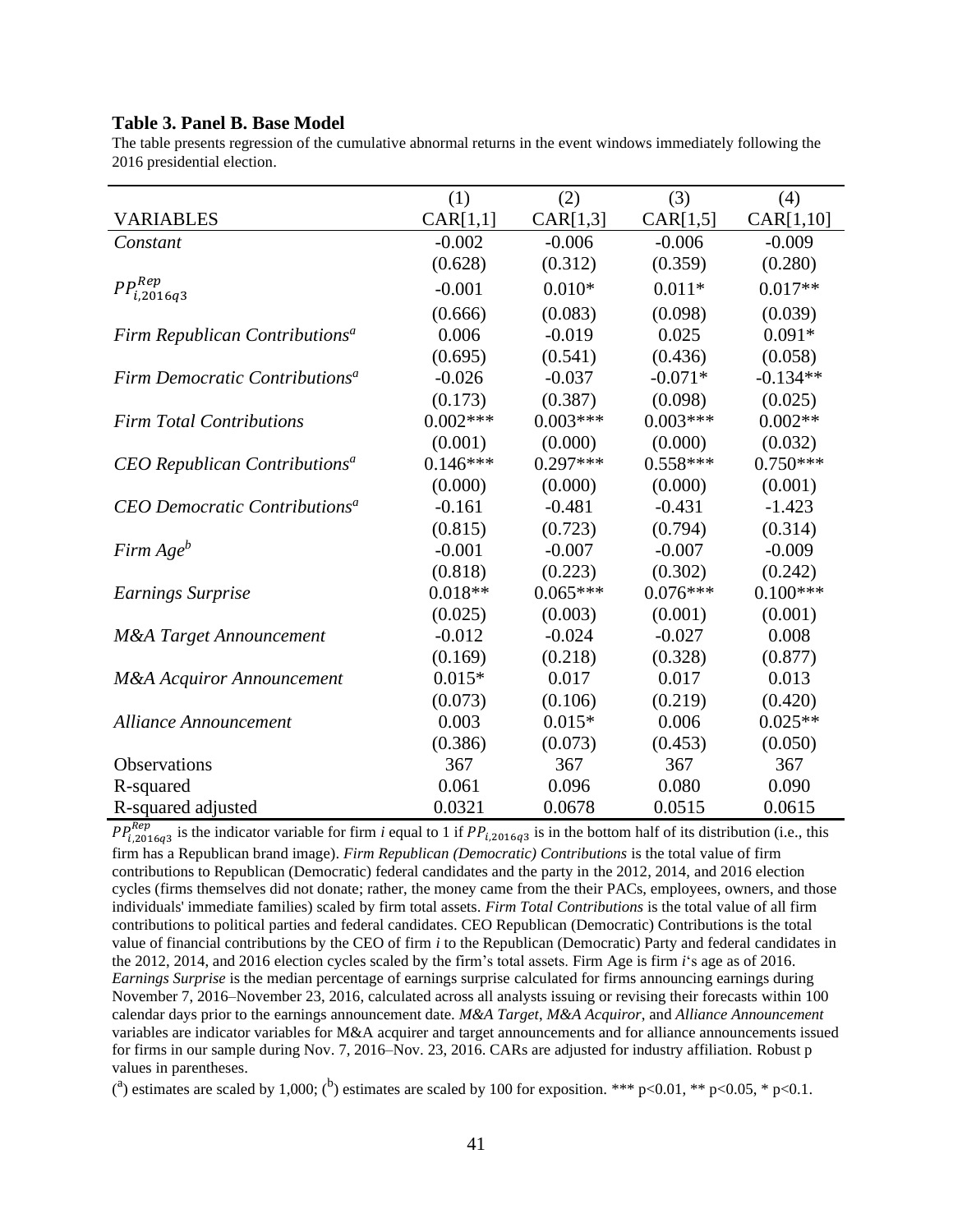#### **Table 3. Panel B. Base Model**

The table presents regression of the cumulative abnormal returns in the event windows immediately following the 2016 presidential election.

|                                            | (1)        | (2)        | (3)        | (4)        |
|--------------------------------------------|------------|------------|------------|------------|
| <b>VARIABLES</b>                           | CAR[1,1]   | CAR[1,3]   | CAR[1,5]   | CAR[1,10]  |
| Constant                                   | $-0.002$   | $-0.006$   | $-0.006$   | $-0.009$   |
|                                            | (0.628)    | (0.312)    | (0.359)    | (0.280)    |
| $PP_{i,2016q3}^{Rep}$                      | $-0.001$   | $0.010*$   | $0.011*$   | $0.017**$  |
|                                            | (0.666)    | (0.083)    | (0.098)    | (0.039)    |
| Firm Republican Contributions <sup>a</sup> | 0.006      | $-0.019$   | 0.025      | $0.091*$   |
|                                            | (0.695)    | (0.541)    | (0.436)    | (0.058)    |
| Firm Democratic Contributions <sup>a</sup> | $-0.026$   | $-0.037$   | $-0.071*$  | $-0.134**$ |
|                                            | (0.173)    | (0.387)    | (0.098)    | (0.025)    |
| <b>Firm Total Contributions</b>            | $0.002***$ | $0.003***$ | $0.003***$ | $0.002**$  |
|                                            | (0.001)    | (0.000)    | (0.000)    | (0.032)    |
| CEO Republican Contributions <sup>a</sup>  | $0.146***$ | $0.297***$ | $0.558***$ | $0.750***$ |
|                                            | (0.000)    | (0.000)    | (0.000)    | (0.001)    |
| CEO Democratic Contributions <sup>a</sup>  | $-0.161$   | $-0.481$   | $-0.431$   | $-1.423$   |
|                                            | (0.815)    | (0.723)    | (0.794)    | (0.314)    |
| Firm Age <sup>b</sup>                      | $-0.001$   | $-0.007$   | $-0.007$   | $-0.009$   |
|                                            | (0.818)    | (0.223)    | (0.302)    | (0.242)    |
| <b>Earnings Surprise</b>                   | $0.018**$  | $0.065***$ | $0.076***$ | $0.100***$ |
|                                            | (0.025)    | (0.003)    | (0.001)    | (0.001)    |
| <b>M&amp;A</b> Target Announcement         | $-0.012$   | $-0.024$   | $-0.027$   | 0.008      |
|                                            | (0.169)    | (0.218)    | (0.328)    | (0.877)    |
| <b>M&amp;A Acquiror Announcement</b>       | $0.015*$   | 0.017      | 0.017      | 0.013      |
|                                            | (0.073)    | (0.106)    | (0.219)    | (0.420)    |
| <b>Alliance Announcement</b>               | 0.003      | $0.015*$   | 0.006      | $0.025**$  |
|                                            | (0.386)    | (0.073)    | (0.453)    | (0.050)    |
| Observations                               | 367        | 367        | 367        | 367        |
| R-squared                                  | 0.061      | 0.096      | 0.080      | 0.090      |
| R-squared adjusted                         | 0.0321     | 0.0678     | 0.0515     | 0.0615     |

 $PP_{i,2016q3}^{Rep}$  is the indicator variable for firm *i* equal to 1 if  $PP_{i,2016q3}$  is in the bottom half of its distribution (i.e., this firm has a Republican brand image). *Firm Republican (Democratic) Contributions* is the total value of firm contributions to Republican (Democratic) federal candidates and the party in the 2012, 2014, and 2016 election cycles (firms themselves did not donate; rather, the money came from the their PACs, employees, owners, and those individuals' immediate families) scaled by firm total assets. *Firm Total Contributions* is the total value of all firm contributions to political parties and federal candidates. CEO Republican (Democratic) Contributions is the total value of financial contributions by the CEO of firm *i* to the Republican (Democratic) Party and federal candidates in the 2012, 2014, and 2016 election cycles scaled by the firm's total assets. Firm Age is firm *i*'s age as of 2016. *Earnings Surprise* is the median percentage of earnings surprise calculated for firms announcing earnings during November 7, 2016–November 23, 2016, calculated across all analysts issuing or revising their forecasts within 100 calendar days prior to the earnings announcement date. *M&A Target*, *M&A Acquiror*, and *Alliance Announcement* variables are indicator variables for M&A acquirer and target announcements and for alliance announcements issued for firms in our sample during Nov. 7, 2016–Nov. 23, 2016. CARs are adjusted for industry affiliation. Robust p values in parentheses.

(<sup>a</sup>) estimates are scaled by 1,000; (<sup>b</sup>) estimates are scaled by 100 for exposition. \*\*\* p<0.01, \*\* p<0.05, \* p<0.1.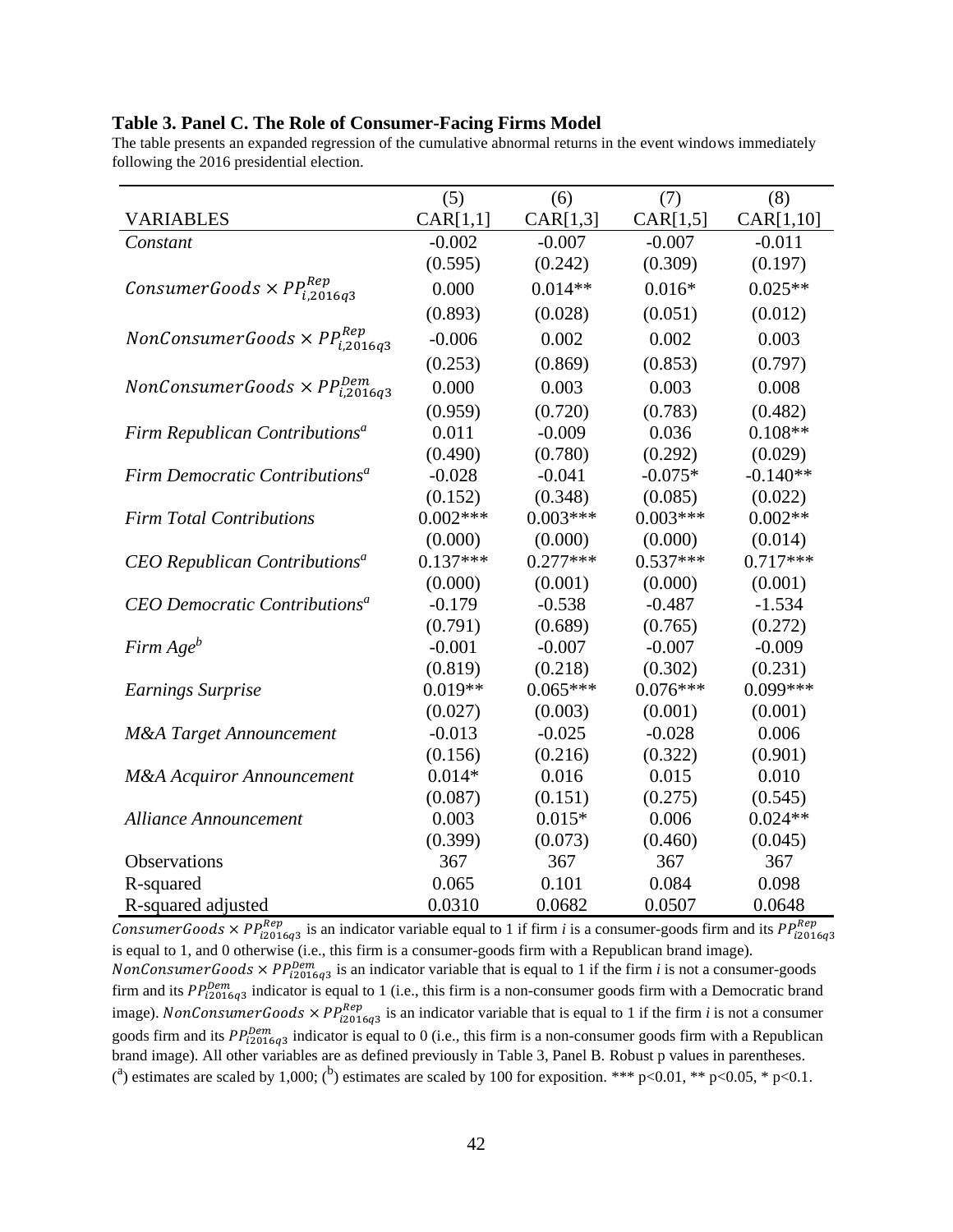#### **Table 3. Panel C. The Role of Consumer-Facing Firms Model**

The table presents an expanded regression of the cumulative abnormal returns in the event windows immediately following the 2016 presidential election.

|                                                                  | (5)        | (6)        | (7)        | (8)        |
|------------------------------------------------------------------|------------|------------|------------|------------|
| <b>VARIABLES</b>                                                 | CAR[1,1]   | CAR[1,3]   | CAR[1,5]   | CAR[1,10]  |
| Constant                                                         | $-0.002$   | $-0.007$   | $-0.007$   | $-0.011$   |
|                                                                  | (0.595)    | (0.242)    | (0.309)    | (0.197)    |
| ConsumerGoods $\times PP_{i,2016q3}^{Rep}$                       | 0.000      | $0.014**$  | $0.016*$   | $0.025**$  |
|                                                                  | (0.893)    | (0.028)    | (0.051)    | (0.012)    |
| $\emph{NonConsumerGoods}\times\emph{PP}^{\emph{Rep}}_{i,2016q3}$ | $-0.006$   | 0.002      | 0.002      | 0.003      |
|                                                                  | (0.253)    | (0.869)    | (0.853)    | (0.797)    |
| NonConsumerGoods $\times PP_{i,2016q3}^{Dem}$                    | 0.000      | 0.003      | 0.003      | 0.008      |
|                                                                  | (0.959)    | (0.720)    | (0.783)    | (0.482)    |
| Firm Republican Contributions <sup>a</sup>                       | 0.011      | $-0.009$   | 0.036      | $0.108**$  |
|                                                                  | (0.490)    | (0.780)    | (0.292)    | (0.029)    |
| Firm Democratic Contributions <sup>a</sup>                       | $-0.028$   | $-0.041$   | $-0.075*$  | $-0.140**$ |
|                                                                  | (0.152)    | (0.348)    | (0.085)    | (0.022)    |
| <b>Firm Total Contributions</b>                                  | $0.002***$ | $0.003***$ | $0.003***$ | $0.002**$  |
|                                                                  | (0.000)    | (0.000)    | (0.000)    | (0.014)    |
| CEO Republican Contributions <sup>a</sup>                        | $0.137***$ | $0.277***$ | $0.537***$ | $0.717***$ |
|                                                                  | (0.000)    | (0.001)    | (0.000)    | (0.001)    |
| CEO Democratic Contributions <sup>a</sup>                        | $-0.179$   | $-0.538$   | $-0.487$   | $-1.534$   |
|                                                                  | (0.791)    | (0.689)    | (0.765)    | (0.272)    |
| Firm Age <sup>b</sup>                                            | $-0.001$   | $-0.007$   | $-0.007$   | $-0.009$   |
|                                                                  | (0.819)    | (0.218)    | (0.302)    | (0.231)    |
| <b>Earnings Surprise</b>                                         | $0.019**$  | $0.065***$ | $0.076***$ | $0.099***$ |
|                                                                  | (0.027)    | (0.003)    | (0.001)    | (0.001)    |
| <b>M&amp;A</b> Target Announcement                               | $-0.013$   | $-0.025$   | $-0.028$   | 0.006      |
|                                                                  | (0.156)    | (0.216)    | (0.322)    | (0.901)    |
| <b>M&amp;A Acquiror Announcement</b>                             | $0.014*$   | 0.016      | 0.015      | 0.010      |
|                                                                  | (0.087)    | (0.151)    | (0.275)    | (0.545)    |
| <b>Alliance Announcement</b>                                     | 0.003      | $0.015*$   | 0.006      | $0.024**$  |
|                                                                  | (0.399)    | (0.073)    | (0.460)    | (0.045)    |
| Observations                                                     | 367        | 367        | 367        | 367        |
| R-squared                                                        | 0.065      | 0.101      | 0.084      | 0.098      |
| R-squared adjusted                                               | 0.0310     | 0.0682     | 0.0507     | 0.0648     |

ConsumerGoods  $\times PP^{Rep}_{i2016q3}$  is an indicator variable equal to 1 if firm *i* is a consumer-goods firm and its  $PP^{Rep}_{i2016q3}$ is equal to 1, and 0 otherwise (i.e., this firm is a consumer-goods firm with a Republican brand image). *NonConsumerGoods*  $\times PP_{i2016q3}^{Dem}$  is an indicator variable that is equal to 1 if the firm *i* is not a consumer-goods firm and its  $PP_{i2016q3}^{Dem}$  indicator is equal to 1 (i.e., this firm is a non-consumer goods firm with a Democratic brand image). NonConsumerGoods  $\times PP^{Rep}_{i2016q3}$  is an indicator variable that is equal to 1 if the firm *i* is not a consumer goods firm and its  $PP^{Dem}_{i2016q3}$  indicator is equal to 0 (i.e., this firm is a non-consumer goods firm with a Republican brand image). All other variables are as defined previously in Table 3, Panel B. Robust p values in parentheses. (<sup>a</sup>) estimates are scaled by 1,000; (<sup>b</sup>) estimates are scaled by 100 for exposition. \*\*\* p<0.01, \*\* p<0.05, \* p<0.1.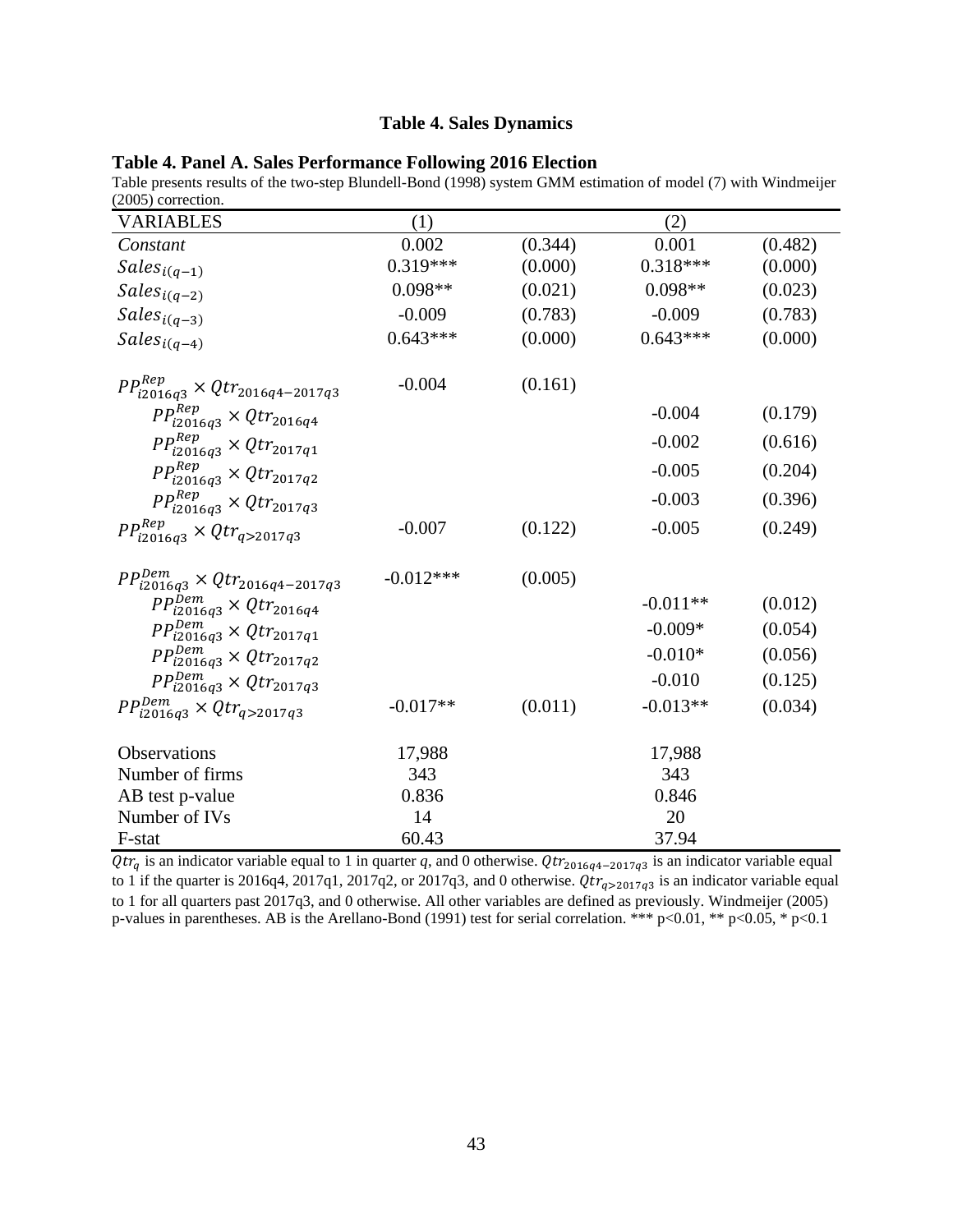#### **Table 4. Sales Dynamics**

| Table 4. Panel A. Sales Performance Following 2016 Election |  |  |  |
|-------------------------------------------------------------|--|--|--|
|-------------------------------------------------------------|--|--|--|

Table presents results of the two-step Blundell-Bond (1998) system GMM estimation of model (7) with Windmeijer (2005) correction.

| <b>VARIABLES</b>                                | (1)         |         | (2)        |         |
|-------------------------------------------------|-------------|---------|------------|---------|
| Constant                                        | 0.002       | (0.344) | 0.001      | (0.482) |
| $\mathit{Sales}_{i(q-1)}$                       | $0.319***$  | (0.000) | $0.318***$ | (0.000) |
| $\mathit{Sales}_{i(q-2)}$                       | $0.098**$   | (0.021) | $0.098**$  | (0.023) |
| $\mathit{Sales}_{i(q-3)}$                       | $-0.009$    | (0.783) | $-0.009$   | (0.783) |
| $\mathit{Sales}_{i(q-4)}$                       | $0.643***$  | (0.000) | $0.643***$ | (0.000) |
| $PP^{Rep}_{i2016q3} \times Qtr_{2016q4-2017q3}$ | $-0.004$    | (0.161) |            |         |
| $PP_{i2016q3}^{Rep} \times Qtr_{2016q4}$        |             |         | $-0.004$   | (0.179) |
| $PP^{Rep}_{i2016q3} \times Qtr_{2017q1}$        |             |         | $-0.002$   | (0.616) |
| $PP_{i2016q3}^{Rep} \times Qtr_{2017q2}$        |             |         | $-0.005$   | (0.204) |
| $PP_{i2016q3}^{Rep} \times Qtr_{2017q3}$        |             |         | $-0.003$   | (0.396) |
| $PP^{Rep}_{i2016q3} \times Qtr_{q > 2017q3}$    | $-0.007$    | (0.122) | $-0.005$   | (0.249) |
| $PP^{Dem}_{i2016q3} \times Qtr_{2016q4-2017q3}$ | $-0.012***$ | (0.005) |            |         |
| $PP_{i2016q3}^{Dem} \times Qtr_{2016q4}$        |             |         | $-0.011**$ | (0.012) |
| $PP^{Dem}_{i2016q3} \times Qtr_{2017q1}$        |             |         | $-0.009*$  | (0.054) |
| $PP_{i2016q3}^{Dem} \times Qtr_{2017q2}$        |             |         | $-0.010*$  | (0.056) |
| $PP_{i2016q3}^{Dem} \times Qtr_{2017q3}$        |             |         | $-0.010$   | (0.125) |
| $PP^{Dem}_{i2016q3} \times Qtr_{q>2017q3}$      | $-0.017**$  | (0.011) | $-0.013**$ | (0.034) |
| Observations                                    | 17,988      |         | 17,988     |         |
| Number of firms                                 | 343         |         | 343        |         |
| AB test p-value                                 | 0.836       |         | 0.846      |         |
| Number of IVs                                   | 14          |         | 20         |         |
| F-stat                                          | 60.43       |         | 37.94      |         |

 $Qtr_q$  is an indicator variable equal to 1 in quarter q, and 0 otherwise.  $Qtr_{2016q4-2017q3}$  is an indicator variable equal to 1 if the quarter is 2016q4, 2017q1, 2017q2, or 2017q3, and 0 otherwise.  $Qtr_{q>2017q3}$  is an indicator variable equal to 1 for all quarters past 2017q3, and 0 otherwise. All other variables are defined as previously. Windmeijer (2005) p-values in parentheses. AB is the Arellano-Bond (1991) test for serial correlation. \*\*\* p<0.01, \*\* p<0.05, \* p<0.1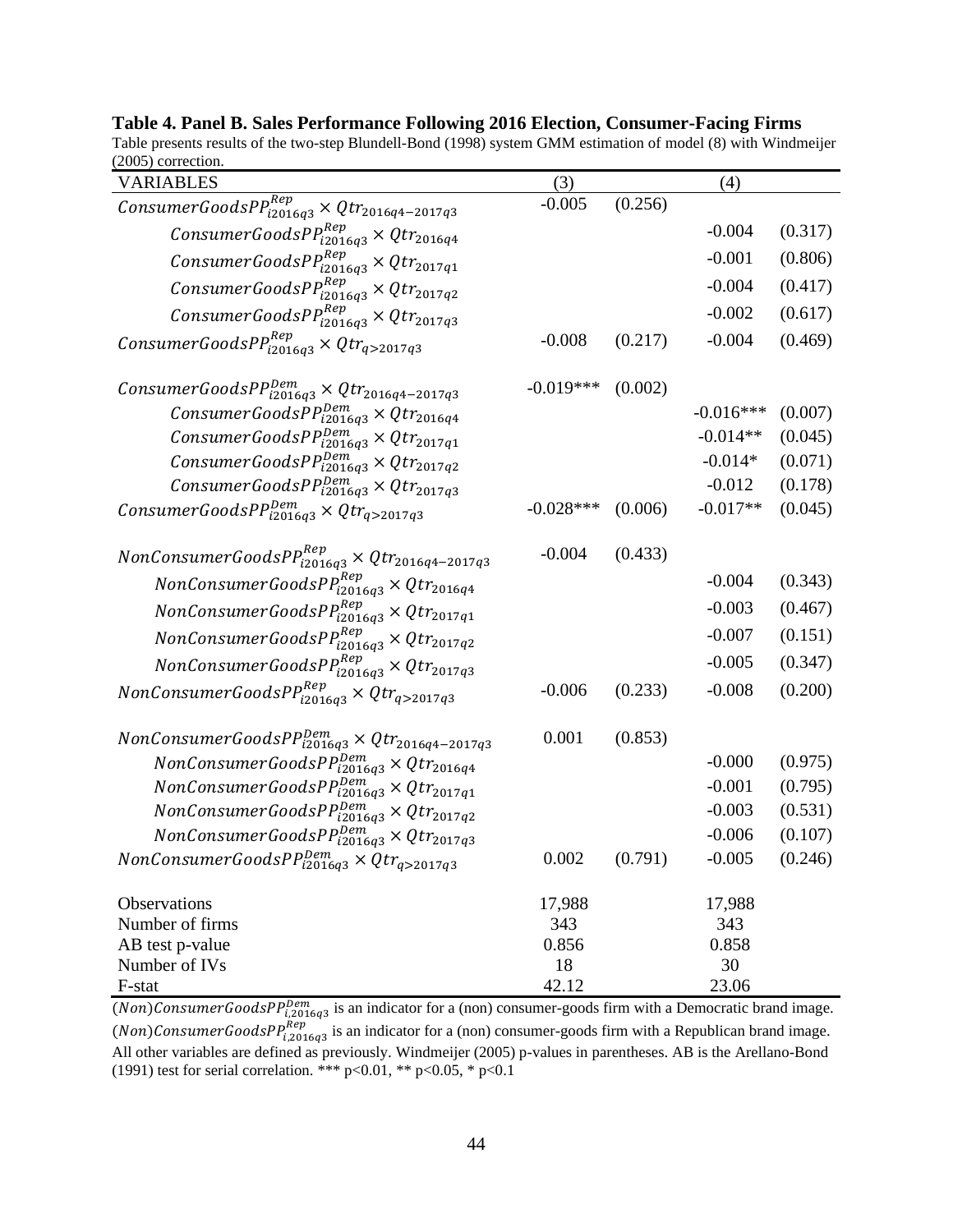| $200J$ , correction.                                                                                                                                           |             |         |             |         |
|----------------------------------------------------------------------------------------------------------------------------------------------------------------|-------------|---------|-------------|---------|
| VARIABLES                                                                                                                                                      | (3)         |         | (4)         |         |
| ConsumerGoods $PP_{i2016q3}^{Rep} \times Qtr_{2016q4-2017q3}$                                                                                                  | $-0.005$    | (0.256) |             |         |
| ConsumerGoods $PP^{Rep}_{i2016q3} \times Qtr_{2016q4}$                                                                                                         |             |         | $-0.004$    | (0.317) |
| $\label{eq:consum} \hspace{2em} ConsumerGoods PP^{Rep}_{i2016q3} \times Qtr_{2017q1}$                                                                          |             |         | $-0.001$    | (0.806) |
| ConsumerGoods $PP^{Rep}_{l2016q3} \times Qtr_{2017q2}$                                                                                                         |             |         | $-0.004$    | (0.417) |
| ConsumerGoods $PP_{i2016q3}^{Rep} \times Qtr_{2017q3}$                                                                                                         |             |         | $-0.002$    | (0.617) |
| $\label{eq:consum} \begin{array}{c} \textit{ConsumerGoods} P P^{Rep}_{i2016q3} \times Q tr_{q > 2017q3} \end{array}$                                           | $-0.008$    | (0.217) | $-0.004$    | (0.469) |
| ConsumerGoodsP $P_{i2016q3}^{Dem} \times Q_{i2016q4-2017q3}$                                                                                                   | $-0.019***$ | (0.002) |             |         |
| ConsumerGoodsP $P^{Dem}_{i2016q3}$ × $Qtr_{2016q4}$                                                                                                            |             |         | $-0.016***$ | (0.007) |
| ConsumerGoodsPP $_{i2016q3}^{Dem} \times Qtr_{2017q1}$                                                                                                         |             |         | $-0.014**$  | (0.045) |
| $\label{eq:consum} \begin{array}{c} \textit{ConsumerGoods} \textit{PP}_{\textit{12016q3}}^{\textit{Dem}} \times \textit{Qtr}_{\textit{2017q2}} \\ \end{array}$ |             |         | $-0.014*$   | (0.071) |
| ConsumerGoodsPP $_{12016q3}^{Dem} \times Qtr_{2017q3}$                                                                                                         |             |         | $-0.012$    | (0.178) |
| ConsumerGoodsPP $_{i2016q3}^{Dem} \times Qtr_{q>2017q3}$                                                                                                       | $-0.028***$ | (0.006) | $-0.017**$  | (0.045) |
| $NonConsumerGoodsPP^{Rep}_{i2016q3} \times Qtr_{2016q4-2017q3}$                                                                                                | $-0.004$    | (0.433) |             |         |
| $\label{eq:nonconsum} NonConsumer \textit{GoodsPP}^{Rep}_{i2016q3} \times \textit{Qtr}_{2016q4}$                                                               |             |         | $-0.004$    | (0.343) |
| $\emph{NonConsumerGoodsPP}^{Rep}_{i2016q3} \times \emph{Qtr}_{2017q1}$                                                                                         |             |         | $-0.003$    | (0.467) |
| $NonConsumerGoodsPP^{Rep}_{i2016q3} \times Qtr_{2017q2}$                                                                                                       |             |         | $-0.007$    | (0.151) |
| $NonConsumerGoodsPP^{Rep}_{i2016q3} \times Qtr_{2017q3}$                                                                                                       |             |         | $-0.005$    | (0.347) |
| $\label{eq:noncomm} NonConsumerGood sPP^{Rep}_{i2016q3} \times Qtr_{q>2017q3}$                                                                                 | $-0.006$    | (0.233) | $-0.008$    | (0.200) |
| <i>NonConsumerGoodsPP</i> $_{i2016q3}^{Dem}$ × $Qtr_{2016q4-2017q3}$                                                                                           | 0.001       | (0.853) |             |         |
| $\label{eq:nonconsum} NonConsumerGood sPP^{Dem}_{i2016q3} \times Qtr_{2016q4}$                                                                                 |             |         | $-0.000$    | (0.975) |
| $\emph{NonConsumerGoodsPP}^{Dem}_{i2016q3} \times Qtr_{2017q1}$                                                                                                |             |         | $-0.001$    | (0.795) |
| $NonConsumerGoodsPP^{Dem}_{i2016q3} \times Qtr_{2017q2}$                                                                                                       |             |         | $-0.003$    | (0.531) |
| $NonConsumerGoodsPP^{Dem}_{i2016q3} \times Qtr_{2017q3}$                                                                                                       |             |         | $-0.006$    | (0.107) |
| <i>NonConsumerGoodsPP</i> $_{i2016q3}^{Dem} \times Qtr_{q>2017q3}$                                                                                             | 0.002       | (0.791) | $-0.005$    | (0.246) |
| Observations                                                                                                                                                   | 17,988      |         | 17,988      |         |
| Number of firms                                                                                                                                                | 343         |         | 343         |         |
| AB test p-value                                                                                                                                                | 0.856       |         | 0.858       |         |
| Number of IVs                                                                                                                                                  | 18<br>42.12 |         | 30<br>23.06 |         |
| F-stat                                                                                                                                                         |             |         |             |         |

#### **Table 4. Panel B. Sales Performance Following 2016 Election, Consumer-Facing Firms**

Table presents results of the two-step Blundell-Bond (1998) system GMM estimation of model (8) with Windmeijer (2005) correction.

(Non)ConsumerGoodsP $P_{i,2016q3}^{Dem}$  is an indicator for a (non) consumer-goods firm with a Democratic brand image. (Non)ConsumerGoodsP $P_{i,2016q3}^{Rep}$  is an indicator for a (non) consumer-goods firm with a Republican brand image. All other variables are defined as previously. Windmeijer (2005) p-values in parentheses. AB is the Arellano-Bond (1991) test for serial correlation. \*\*\* p<0.01, \*\* p<0.05, \* p<0.1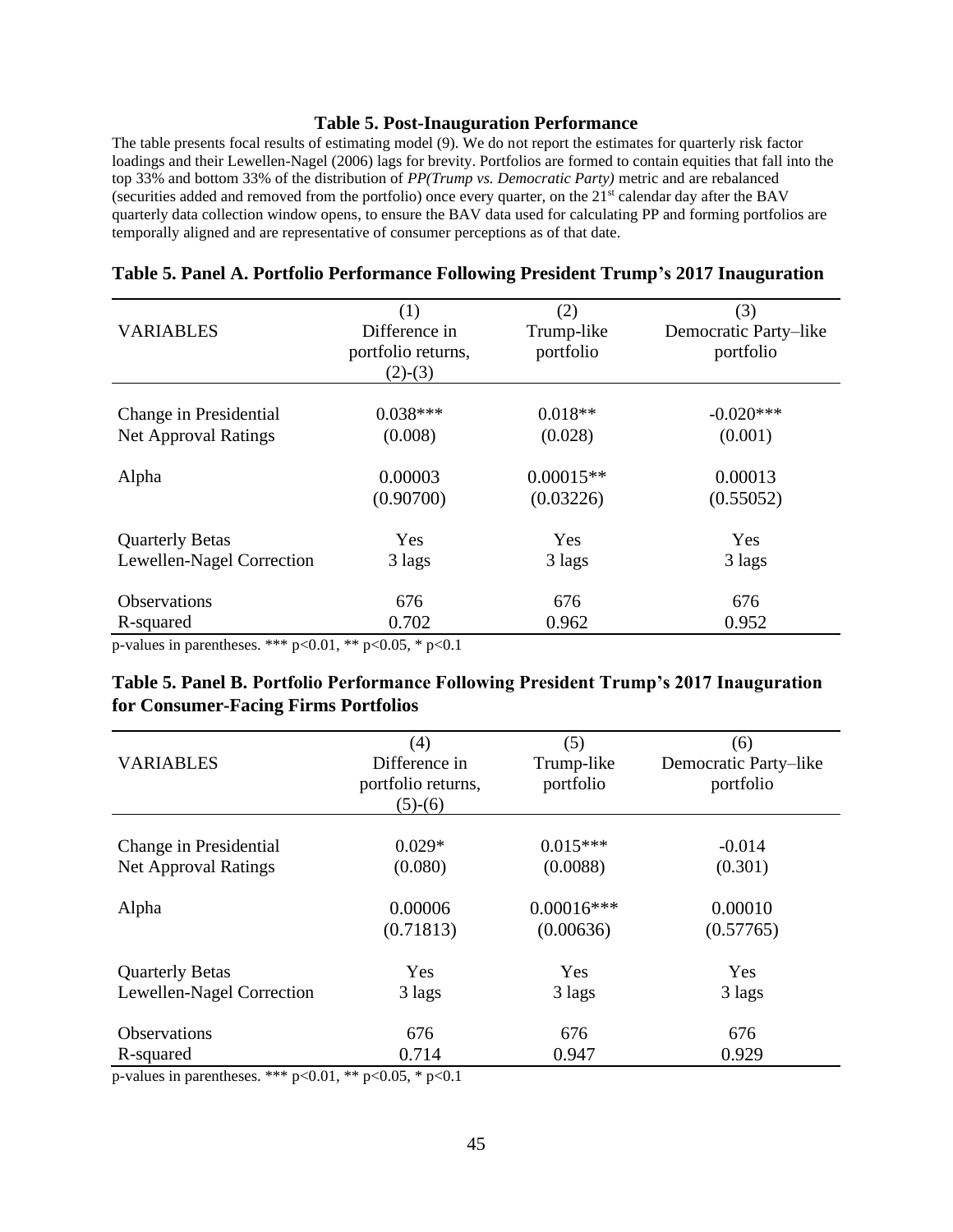#### **Table 5. Post-Inauguration Performance**

The table presents focal results of estimating model (9). We do not report the estimates for quarterly risk factor loadings and their Lewellen-Nagel (2006) lags for brevity. Portfolios are formed to contain equities that fall into the top 33% and bottom 33% of the distribution of *PP(Trump vs. Democratic Party)* metric and are rebalanced (securities added and removed from the portfolio) once every quarter, on the 21st calendar day after the BAV quarterly data collection window opens, to ensure the BAV data used for calculating PP and forming portfolios are temporally aligned and are representative of consumer perceptions as of that date.

| <b>VARIABLES</b>            | (1)<br>Difference in<br>portfolio returns,<br>$(2)-(3)$ | (2)<br>Trump-like<br>portfolio | (3)<br>Democratic Party-like<br>portfolio |
|-----------------------------|---------------------------------------------------------|--------------------------------|-------------------------------------------|
| Change in Presidential      | $0.038***$                                              | $0.018**$                      | $-0.020***$                               |
| <b>Net Approval Ratings</b> | (0.008)                                                 | (0.028)                        | (0.001)                                   |
| Alpha                       | 0.00003                                                 | $0.00015**$                    | 0.00013                                   |
|                             | (0.90700)                                               | (0.03226)                      | (0.55052)                                 |
| <b>Quarterly Betas</b>      | Yes                                                     | Yes                            | Yes                                       |
| Lewellen-Nagel Correction   | 3 lags                                                  | 3 lags                         | 3 lags                                    |
| <b>Observations</b>         | 676                                                     | 676                            | 676                                       |
| R-squared                   | 0.702                                                   | 0.962                          | 0.952                                     |

#### **Table 5. Panel A. Portfolio Performance Following President Trump's 2017 Inauguration**

p-values in parentheses. \*\*\*  $p<0.01$ , \*\*  $p<0.05$ , \*  $p<0.1$ 

## **Table 5. Panel B. Portfolio Performance Following President Trump's 2017 Inauguration for Consumer-Facing Firms Portfolios**

|                             | (4)                | (5)           | (6)                   |
|-----------------------------|--------------------|---------------|-----------------------|
| <b>VARIABLES</b>            | Difference in      | Trump-like    | Democratic Party-like |
|                             | portfolio returns, | portfolio     | portfolio             |
|                             | $(5)-(6)$          |               |                       |
|                             |                    |               |                       |
| Change in Presidential      | $0.029*$           | $0.015***$    | $-0.014$              |
| <b>Net Approval Ratings</b> | (0.080)            | (0.0088)      | (0.301)               |
|                             |                    |               |                       |
| Alpha                       | 0.00006            | $0.00016$ *** | 0.00010               |
|                             | (0.71813)          | (0.00636)     | (0.57765)             |
| <b>Quarterly Betas</b>      | Yes                | Yes           | Yes                   |
|                             |                    |               |                       |
| Lewellen-Nagel Correction   | 3 lags             | 3 lags        | 3 lags                |
| <b>Observations</b>         | 676                | 676           | 676                   |
| R-squared                   | 0.714              | 0.947         | 0.929                 |

p-values in parentheses. \*\*\* p<0.01, \*\* p<0.05, \* p<0.1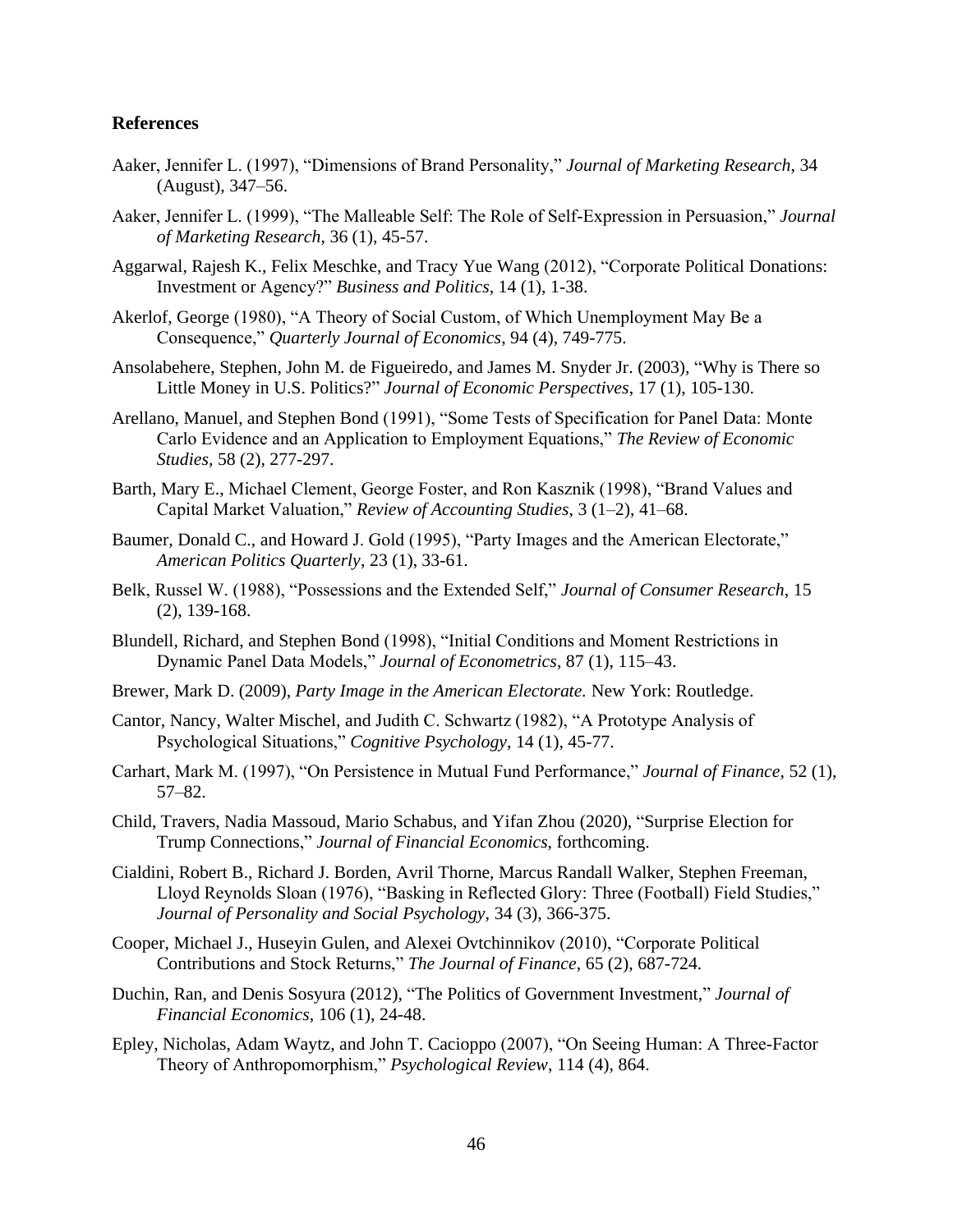#### **References**

- Aaker, Jennifer L. (1997), "Dimensions of Brand Personality," *Journal of Marketing Research*, 34 (August), 347–56.
- Aaker, Jennifer L. (1999), "The Malleable Self: The Role of Self-Expression in Persuasion," *Journal of Marketing Research,* 36 (1), 45-57.
- Aggarwal, Rajesh K., Felix Meschke, and Tracy Yue Wang (2012), "Corporate Political Donations: Investment or Agency?" *Business and Politics*, 14 (1), 1-38.
- Akerlof, George (1980), "A Theory of Social Custom, of Which Unemployment May Be a Consequence," *Quarterly Journal of Economics*, 94 (4), 749-775.
- Ansolabehere, Stephen, John M. de Figueiredo, and James M. Snyder Jr. (2003), "Why is There so Little Money in U.S. Politics?" *Journal of Economic Perspectives*, 17 (1), 105-130.
- Arellano, Manuel, and Stephen Bond (1991), "Some Tests of Specification for Panel Data: Monte Carlo Evidence and an Application to Employment Equations," *The Review of Economic Studies,* 58 (2), 277-297.
- Barth, Mary E., Michael Clement, George Foster, and Ron Kasznik (1998), "Brand Values and Capital Market Valuation," *Review of Accounting Studies*, 3 (1–2), 41–68.
- Baumer, Donald C., and Howard J. Gold (1995), "Party Images and the American Electorate," *American Politics Quarterly*, 23 (1), 33-61.
- Belk, Russel W. (1988), "Possessions and the Extended Self," *Journal of Consumer Research*, 15 (2), 139-168.
- Blundell, Richard, and Stephen Bond (1998), "Initial Conditions and Moment Restrictions in Dynamic Panel Data Models," *Journal of Econometrics*, 87 (1), 115–43.
- Brewer, Mark D. (2009), *Party Image in the American Electorate.* New York: Routledge.
- Cantor, Nancy, Walter Mischel, and Judith C. Schwartz (1982), "A Prototype Analysis of Psychological Situations," *Cognitive Psychology*, 14 (1), 45-77.
- Carhart, Mark M. (1997), "On Persistence in Mutual Fund Performance," *Journal of Finance*, 52 (1), 57–82.
- Child, Travers, Nadia Massoud, Mario Schabus, and Yifan Zhou (2020), "Surprise Election for Trump Connections," *Journal of Financial Economics*, forthcoming.
- Cialdini, Robert B., Richard J. Borden, Avril Thorne, Marcus Randall Walker, Stephen Freeman, Lloyd Reynolds Sloan (1976), "Basking in Reflected Glory: Three (Football) Field Studies," *Journal of Personality and Social Psychology,* 34 (3), 366-375.
- Cooper, Michael J., Huseyin Gulen, and Alexei Ovtchinnikov (2010), "Corporate Political Contributions and Stock Returns," *The Journal of Finance*, 65 (2), 687-724.
- Duchin, Ran, and Denis Sosyura (2012), "The Politics of Government Investment," *Journal of Financial Economics*, 106 (1), 24-48.
- Epley, Nicholas, Adam Waytz, and John T. Cacioppo (2007), "On Seeing Human: A Three-Factor Theory of Anthropomorphism," *Psychological Review*, 114 (4), 864.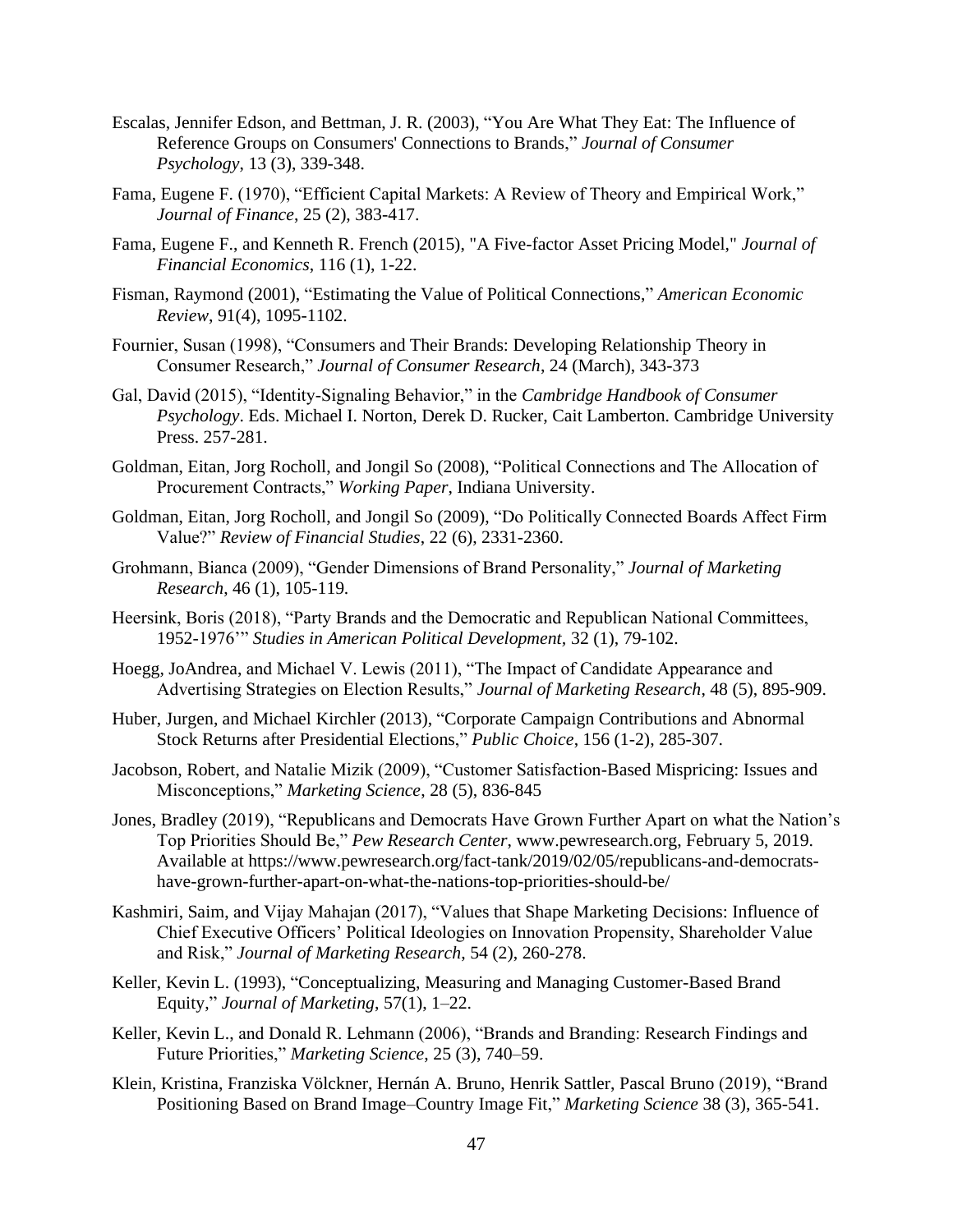- Escalas, Jennifer Edson, and Bettman, J. R. (2003), "You Are What They Eat: The Influence of Reference Groups on Consumers' Connections to Brands," *Journal of Consumer Psychology*, 13 (3), 339-348.
- Fama, Eugene F. (1970), "Efficient Capital Markets: A Review of Theory and Empirical Work," *Journal of Finance*, 25 (2), 383-417.
- Fama, Eugene F., and Kenneth R. French (2015), "A Five-factor Asset Pricing Model," *Journal of Financial Economics*, 116 (1), 1-22.
- Fisman, Raymond (2001), "Estimating the Value of Political Connections," *American Economic Review*, 91(4), 1095-1102.
- Fournier, Susan (1998), "Consumers and Their Brands: Developing Relationship Theory in Consumer Research," *Journal of Consumer Research*, 24 (March), 343-373
- Gal, David (2015), "Identity-Signaling Behavior," in the *Cambridge Handbook of Consumer Psychology*. Eds. Michael I. Norton, Derek D. Rucker, Cait Lamberton. Cambridge University Press. 257-281.
- Goldman, Eitan, Jorg Rocholl, and Jongil So (2008), "Political Connections and The Allocation of Procurement Contracts," *Working Paper*, Indiana University.
- Goldman, Eitan, Jorg Rocholl, and Jongil So (2009), "Do Politically Connected Boards Affect Firm Value?" *Review of Financial Studies*, 22 (6), 2331-2360.
- Grohmann, Bianca (2009), "Gender Dimensions of Brand Personality," *Journal of Marketing Research*, 46 (1), 105-119.
- Heersink, Boris (2018), "Party Brands and the Democratic and Republican National Committees, 1952-1976'" *Studies in American Political Development,* 32 (1), 79-102.
- Hoegg, JoAndrea, and Michael V. Lewis (2011), "The Impact of Candidate Appearance and Advertising Strategies on Election Results," *Journal of Marketing Research*, 48 (5), 895-909.
- Huber, Jurgen, and Michael Kirchler (2013), "Corporate Campaign Contributions and Abnormal Stock Returns after Presidential Elections," *Public Choice*, 156 (1-2), 285-307.
- Jacobson, Robert, and Natalie Mizik (2009), "Customer Satisfaction-Based Mispricing: Issues and Misconceptions," *Marketing Science*, 28 (5), 836-845
- Jones, Bradley (2019), "Republicans and Democrats Have Grown Further Apart on what the Nation's Top Priorities Should Be," *Pew Research Center*, www.pewresearch.org, February 5, 2019. Available at https://www.pewresearch.org/fact-tank/2019/02/05/republicans-and-democratshave-grown-further-apart-on-what-the-nations-top-priorities-should-be/
- Kashmiri, Saim, and Vijay Mahajan (2017), "Values that Shape Marketing Decisions: Influence of Chief Executive Officers' Political Ideologies on Innovation Propensity, Shareholder Value and Risk," *Journal of Marketing Research*, 54 (2), 260-278.
- Keller, Kevin L. (1993), "Conceptualizing, Measuring and Managing Customer-Based Brand Equity," *Journal of Marketing*, 57(1), 1–22.
- Keller, Kevin L., and Donald R. Lehmann (2006), "Brands and Branding: Research Findings and Future Priorities," *Marketing Science*, 25 (3), 740–59.
- Klein, Kristina, Franziska Völckner, Hernán A. Bruno, Henrik Sattler, Pascal Bruno (2019), "Brand Positioning Based on Brand Image–Country Image Fit," *Marketing Science* 38 (3), 365-541.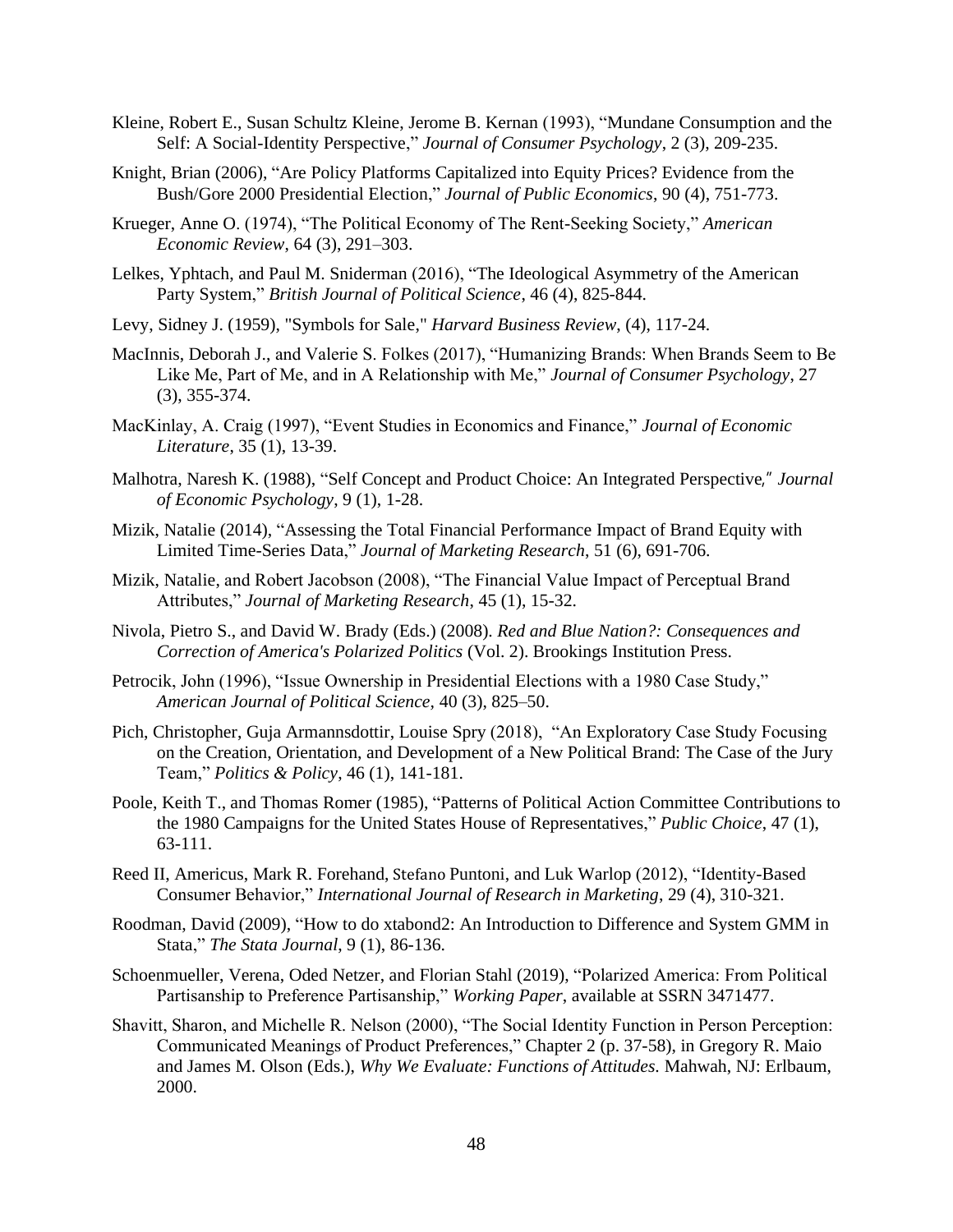- Kleine, Robert E., Susan Schultz Kleine, Jerome B. Kernan (1993), "Mundane Consumption and the Self: A Social-Identity Perspective," *Journal of Consumer Psychology*, 2 (3), 209-235.
- Knight, Brian (2006), "Are Policy Platforms Capitalized into Equity Prices? Evidence from the Bush/Gore 2000 Presidential Election," *Journal of Public Economics*, 90 (4), 751-773.
- Krueger, Anne O. (1974), "The Political Economy of The Rent-Seeking Society," *American Economic Review*, 64 (3), 291–303.
- Lelkes, Yphtach, and Paul M. Sniderman (2016), "The Ideological Asymmetry of the American Party System," *British Journal of Political Science*, 46 (4), 825-844.
- Levy, Sidney J. (1959), "Symbols for Sale," *Harvard Business Review*, (4), 117-24.
- MacInnis, Deborah J., and Valerie S. Folkes (2017), "Humanizing Brands: When Brands Seem to Be Like Me, Part of Me, and in A Relationship with Me," *Journal of Consumer Psychology*, 27 (3), 355-374.
- MacKinlay, A. Craig (1997), "Event Studies in Economics and Finance," *Journal of Economic Literature*, 35 (1), 13-39.
- Malhotra, Naresh K. (1988), "Self Concept and Product Choice: An Integrated Perspective," *Journal of Economic Psychology*, 9 (1), 1-28.
- Mizik, Natalie (2014), "Assessing the Total Financial Performance Impact of Brand Equity with Limited Time-Series Data," *Journal of Marketing Research*, 51 (6), 691-706.
- Mizik, Natalie, and Robert Jacobson (2008), "The Financial Value Impact of Perceptual Brand Attributes," *Journal of Marketing Research*, 45 (1), 15-32.
- Nivola, Pietro S., and David W. Brady (Eds.) (2008). *Red and Blue Nation?: Consequences and Correction of America's Polarized Politics* (Vol. 2). Brookings Institution Press.
- Petrocik, John (1996), "Issue Ownership in Presidential Elections with a 1980 Case Study," *American Journal of Political Science,* 40 (3), 825–50.
- Pich, Christopher, Guja Armannsdottir, Louise Spry (2018), "An Exploratory Case Study Focusing on the Creation, Orientation, and Development of a New Political Brand: The Case of the Jury Team," *Politics & Policy*, 46 (1), 141-181.
- Poole, Keith T., and Thomas Romer (1985), "Patterns of Political Action Committee Contributions to the 1980 Campaigns for the United States House of Representatives," *Public Choice*, 47 (1), 63-111.
- Reed II, Americus, Mark R. Forehand, Stefano Puntoni, and Luk Warlop (2012), "Identity-Based Consumer Behavior," *International Journal of Research in Marketing*, 29 (4), 310-321.
- Roodman, David (2009), "How to do xtabond2: An Introduction to Difference and System GMM in Stata," *The Stata Journal*, 9 (1), 86-136.
- Schoenmueller, Verena, Oded Netzer, and Florian Stahl (2019), "Polarized America: From Political Partisanship to Preference Partisanship," *Working Paper*, available at SSRN 3471477.
- Shavitt, Sharon, and Michelle R. Nelson (2000), "The Social Identity Function in Person Perception: Communicated Meanings of Product Preferences," Chapter 2 (p. 37-58), in Gregory R. Maio and James M. Olson (Eds.), *Why We Evaluate: Functions of Attitudes.* Mahwah, NJ: Erlbaum, 2000.